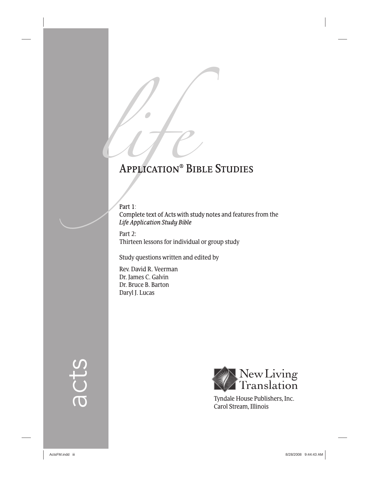# APPLICATION® BIBLE STUDIES f

Complete text of Acts with study notes and features from the Life Application Study Bible

Part 2: Thirteen lessons for individual or group study

Study questions written and edited by

Rev. David R. Veerman Dr. James C. Galvin Dr. Bruce B. Barton Daryl J. Lucas

 $\overline{\phantom{a}}$ 



Tyndale House Publishers, Inc. Carol Stream, Illinois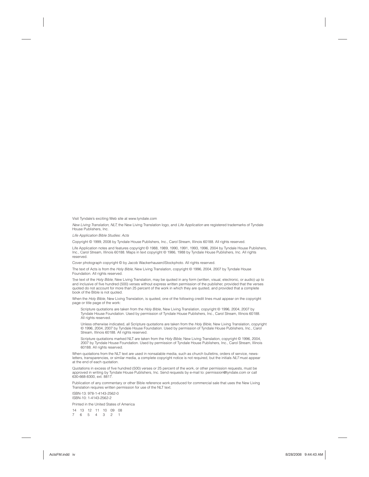Visit Tyndale's exciting Web site at www.tyndale.com

*New Living Translation, NLT,* the New Living Translation logo, and *Life Application* are registered trademarks of Tyndale House Publishers, Inc.

*Life Application Bible Studies: Acts*

Copyright © 1999, 2008 by Tyndale House Publishers, Inc., Carol Stream, Illinois 60188. All rights reserved.

Life Application notes and features copyright © 1988, 1989, 1990, 1991, 1993, 1996, 2004 by Tyndale House Publishers, Inc., Carol Stream, Illinois 60188. Maps in text copyright © 1986, 1988 by Tyndale House Publishers, Inc. All rights reserved.

Cover photograph copyright © by Jacob Wackerhausen/iStockphoto. All rights reserved.

The text of Acts is from the *Holy Bible,* New Living Translation, copyright © 1996, 2004, 2007 by Tyndale House Foundation. All rights reserved.

The text of the *Holy Bible,* New Living Translation, may be quoted in any form (written, visual, electronic, or audio) up to and inclusive of five hundred (500) verses without express written permission of the publisher, provided that the verses quoted do not account for more than 25 percent of the work in which they are quoted, and provided that a complete book of the Bible is not quoted.

When the *Holy Bible,* New Living Translation, is quoted, one of the following credit lines must appear on the copyright page or title page of the work:

Scripture quotations are taken from the *Holy Bible,* New Living Translation, copyright © 1996, 2004, 2007 by Tyndale House Foundation. Used by permission of Tyndale House Publishers, Inc., Carol Stream, Illinois 60188. All rights reserved.

Unless otherwise indicated, all Scripture quotations are taken from the *Holy Bible,* New Living Translation, copyright © 1996, 2004, 2007 by Tyndale House Foundation. Used by permission of Tyndale House Publishers, Inc., Carol Stream, Illinois 60188. All rights reserved.

Scripture quotations marked NLT are taken from the *Holy Bible,* New Living Translation, copyright © 1996, 2004, 2007 by Tyndale House Foundation. Used by permission of Tyndale House Publishers, Inc., Carol Stream, Illinois 60188. All rights reserved.

When quotations from the NLT text are used in nonsalable media, such as church bulletins, orders of service, newsletters, transparencies, or similar media, a complete copyright notice is not required, but the initials *NLT* must appear at the end of each quotation.

Quotations in excess of five hundred (500) verses or 25 percent of the work, or other permission requests, must be approved in writing by Tyndale House Publishers, Inc. Send requests by e-mail to: permission@tyndale.com or call 630-668-8300, ext. 8817.

Publication of any commentary or other Bible reference work produced for commercial sale that uses the New Living Translation requires written permission for use of the NLT text.

ISBN-13: 978-1-4143-2562-0 ISBN-10: 1-4143-2562-2

Printed in the United States of America

14 13 12 11 10 09 08 7 6 5 4 3 2 1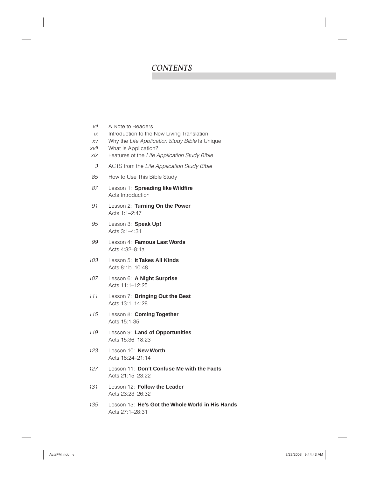# *CONTENTS*

| vii<br>İХ<br>XV<br>xvii<br>хiх | A Note to Readers<br>Introduction to the New Living Translation<br>Why the Life Application Study Bible Is Unique<br>What Is Application?<br>Features of the Life Application Study Bible |
|--------------------------------|-------------------------------------------------------------------------------------------------------------------------------------------------------------------------------------------|
| 3                              | ACTS from the Life Application Study Bible                                                                                                                                                |
| 85                             | How to Use This Bible Study                                                                                                                                                               |
| 87                             | Lesson 1: Spreading like Wildfire<br>Acts Introduction                                                                                                                                    |
| 91                             | Lesson 2: Turning On the Power<br>Acts 1:1-2:47                                                                                                                                           |
| 95                             | Lesson 3: Speak Up!<br>Acts 3:1-4:31                                                                                                                                                      |
| 99                             | Lesson 4: Famous Last Words<br>Acts 4:32-8:1a                                                                                                                                             |
| 103                            | Lesson 5: It Takes All Kinds<br>Acts 8:1b-10:48                                                                                                                                           |
| 107                            | Lesson 6: A Night Surprise<br>Acts 11:1-12:25                                                                                                                                             |
| 111                            | Lesson 7: Bringing Out the Best<br>Acts 13:1-14:28                                                                                                                                        |
| 115                            | Lesson 8: Coming Together<br>Acts 15:1-35                                                                                                                                                 |
| 119                            | Lesson 9: Land of Opportunities<br>Acts 15:36-18:23                                                                                                                                       |
| 123                            | Lesson 10: <b>New Worth</b><br>Acts 18:24-21:14                                                                                                                                           |
| 127                            | Lesson 11: Don't Confuse Me with the Facts<br>Acts 21:15-23:22                                                                                                                            |
| 131                            | Lesson 12: Follow the Leader<br>Acts 23:23-26:32                                                                                                                                          |
| 135                            | Lesson 13: He's Got the Whole World in His Hands                                                                                                                                          |

Acts 27:1–28:31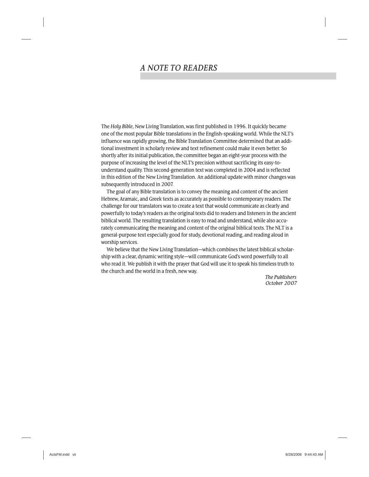# *A NOTE TO READERS*

The *Holy Bible,* New Living Translation, was first published in 1996. It quickly became one of the most popular Bible translations in the English-speaking world. While the NLT's influence was rapidly growing, the Bible Translation Committee determined that an additional investment in scholarly review and text refinement could make it even better. So shortly after its initial publication, the committee began an eight-year process with the purpose of increasing the level of the NLT's precision without sacrificing its easy-tounderstand quality. This second-generation text was completed in 2004 and is reflected in this edition of the New Living Translation. An additional update with minor changes was subsequently introduced in 2007.

The goal of any Bible translation is to convey the meaning and content of the ancient Hebrew, Aramaic, and Greek texts as accurately as possible to contemporary readers. The challenge for our translators was to create a text that would communicate as clearly and powerfully to today's readers as the original texts did to readers and listeners in the ancient biblical world. The resulting translation is easy to read and understand, while also accurately communicating the meaning and content of the original biblical texts. The NLT is a general-purpose text especially good for study, devotional reading, and reading aloud in worship services.

We believe that the New Living Translation—which combines the latest biblical scholarship with a clear, dynamic writing style—will communicate God's word powerfully to all who read it. We publish it with the prayer that God will use it to speak his timeless truth to the church and the world in a fresh, new way.

> *The Publishers October 2007*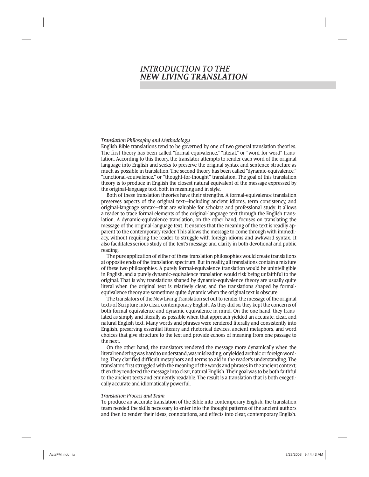## *INTRODUCTION TO THE NEW LIVING TRANSLATION*

#### *Translation Philosophy and Methodology*

English Bible translations tend to be governed by one of two general translation theories. The first theory has been called "formal-equivalence," "literal," or "word-for-word" translation. According to this theory, the translator attempts to render each word of the original language into English and seeks to preserve the original syntax and sentence structure as much as possible in translation. The second theory has been called "dynamic-equivalence," "functional-equivalence," or "thought-for-thought" translation. The goal of this translation theory is to produce in English the closest natural equivalent of the message expressed by the original-language text, both in meaning and in style.

Both of these translation theories have their strengths. A formal-equivalence translation preserves aspects of the original text—including ancient idioms, term consistency, and original-language syntax—that are valuable for scholars and professional study. It allows a reader to trace formal elements of the original-language text through the English translation. A dynamic-equivalence translation, on the other hand, focuses on translating the message of the original-language text. It ensures that the meaning of the text is readily apparent to the contemporary reader. This allows the message to come through with immediacy, without requiring the reader to struggle with foreign idioms and awkward syntax. It also facilitates serious study of the text's message and clarity in both devotional and public reading.

The pure application of either of these translation philosophies would create translations at opposite ends of the translation spectrum. But in reality, all translations contain a mixture of these two philosophies. A purely formal-equivalence translation would be unintelligible in English, and a purely dynamic-equivalence translation would risk being unfaithful to the original. That is why translations shaped by dynamic-equivalence theory are usually quite literal when the original text is relatively clear, and the translations shaped by formalequivalence theory are sometimes quite dynamic when the original text is obscure.

The translators of the New Living Translation set out to render the message of the original texts of Scripture into clear, contemporary English. As they did so, they kept the concerns of both formal-equivalence and dynamic-equivalence in mind. On the one hand, they translated as simply and literally as possible when that approach yielded an accurate, clear, and natural English text. Many words and phrases were rendered literally and consistently into English, preserving essential literary and rhetorical devices, ancient metaphors, and word choices that give structure to the text and provide echoes of meaning from one passage to the next.

On the other hand, the translators rendered the message more dynamically when the literal rendering was hard to understand, was misleading, or yielded archaic or foreign wording. They clarified difficult metaphors and terms to aid in the reader's understanding. The translators first struggled with the meaning of the words and phrases in the ancient context; then they rendered the message into clear, natural English. Their goal was to be both faithful to the ancient texts and eminently readable. The result is a translation that is both exegetically accurate and idiomatically powerful.

#### *Translation Process and Team*

To produce an accurate translation of the Bible into contemporary English, the translation team needed the skills necessary to enter into the thought patterns of the ancient authors and then to render their ideas, connotations, and effects into clear, contemporary English.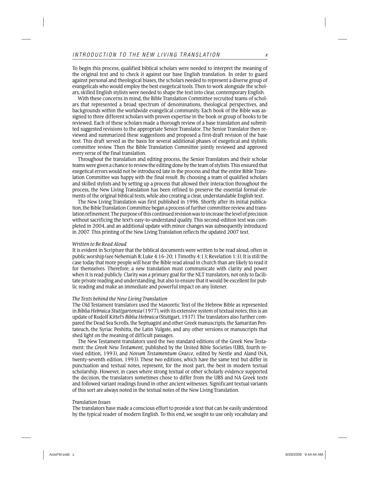To begin this process, qualified biblical scholars were needed to interpret the meaning of the original text and to check it against our base English translation. In order to guard against personal and theological biases, the scholars needed to represent a diverse group of evangelicals who would employ the best exegetical tools. Then to work alongside the scholars, skilled English stylists were needed to shape the text into clear, contemporary English.

With these concerns in mind, the Bible Translation Committee recruited teams of scholars that represented a broad spectrum of denominations, theological perspectives, and backgrounds within the worldwide evangelical community. Each book of the Bible was assigned to three different scholars with proven expertise in the book or group of books to be reviewed. Each of these scholars made a thorough review of a base translation and submitted suggested revisions to the appropriate Senior Translator. The Senior Translator then reviewed and summarized these suggestions and proposed a first-draft revision of the base text. This draft served as the basis for several additional phases of exegetical and stylistic committee review. Then the Bible Translation Committee jointly reviewed and approved every verse of the final translation.

Throughout the translation and editing process, the Senior Translators and their scholar teams were given a chance to review the editing done by the team of stylists. This ensured that exegetical errors would not be introduced late in the process and that the entire Bible Translation Committee was happy with the final result. By choosing a team of qualified scholars and skilled stylists and by setting up a process that allowed their interaction throughout the process, the New Living Translation has been refined to preserve the essential formal elements of the original biblical texts, while also creating a clear, understandable English text.

The New Living Translation was first published in 1996. Shortly after its initial publication, the Bible Translation Committee began a process of further committee review and translation refinement. The purpose of this continued revision was to increase the level of precision without sacrificing the text's easy-to-understand quality. This second-edition text was completed in 2004, and an additional update with minor changes was subsequently introduced in 2007. This printing of the New Living Translation reflects the updated 2007 text.

#### *Written to Be Read Aloud*

It is evident in Scripture that the biblical documents were written to be read aloud, often in public worship (see Nehemiah 8; Luke 4:16-20; 1 Timothy 4:13; Revelation 1:3). It is still the case today that more people will hear the Bible read aloud in church than are likely to read it for themselves. Therefore, a new translation must communicate with clarity and power when it is read publicly. Clarity was a primary goal for the NLT translators, not only to facilitate private reading and understanding, but also to ensure that it would be excellent for public reading and make an immediate and powerful impact on any listener.

#### *The Texts behind the New Living Translation*

The Old Testament translators used the Masoretic Text of the Hebrew Bible as represented in *Biblia Hebraica Stuttgartensia* (1977), with its extensive system of textual notes; this is an update of Rudolf Kittel's *Biblia Hebraica* (Stuttgart, 1937). The translators also further compared the Dead Sea Scrolls, the Septuagint and other Greek manuscripts, the Samaritan Pentateuch, the Syriac Peshitta, the Latin Vulgate, and any other versions or manuscripts that shed light on the meaning of difficult passages.

The New Testament translators used the two standard editions of the Greek New Testament: the *Greek New Testament,* published by the United Bible Societies (UBS, fourth revised edition, 1993), and *Novum Testamentum Graece,* edited by Nestle and Aland (NA, twenty-seventh edition, 1993). These two editions, which have the same text but differ in punctuation and textual notes, represent, for the most part, the best in modern textual scholar ship. However, in cases where strong textual or other scholarly evidence supported the decision, the translators sometimes chose to differ from the UBS and NA Greek texts and followed variant readings found in other ancient witnesses. Significant textual variants of this sort are always noted in the textual notes of the New Living Translation.

#### *Translation Issues*

The translators have made a conscious effort to provide a text that can be easily understood by the typical reader of modern English. To this end, we sought to use only vocabulary and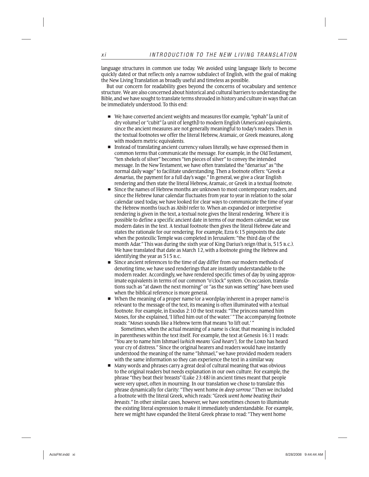language structures in common use today. We avoided using language likely to become quickly dated or that reflects only a narrow subdialect of English, with the goal of making the New Living Translation as broadly useful and timeless as possible.

But our concern for readability goes beyond the concerns of vocabulary and sentence structure. We are also concerned about historical and cultural barriers to understanding the Bible, and we have sought to translate terms shrouded in history and culture in ways that can be immediately understood. To this end:

- We have converted ancient weights and measures (for example, "ephah" [a unit of dry volume] or "cubit" [a unit of length]) to modern English (American) equivalents, since the ancient measures are not generally meaningful to today's readers. Then in the textual footnotes we offer the literal Hebrew, Aramaic, or Greek measures, along with modern metric equivalents.
- Instead of translating ancient currency values literally, we have expressed them in common terms that communicate the message. For example, in the Old Testament, "ten shekels of silver" becomes "ten pieces of silver" to convey the intended message. In the New Testament, we have often translated the "denarius" as "the normal daily wage" to facilitate understanding. Then a footnote offers: "Greek *a denarius,* the payment for a full day's wage." In general, we give a clear English rendering and then state the literal Hebrew, Aramaic, or Greek in a textual footnote.
- Since the names of Hebrew months are unknown to most contemporary readers, and since the Hebrew lunar calendar fluctuates from year to year in relation to the solar calendar used today, we have looked for clear ways to communicate the time of year the Hebrew months (such as Abib) refer to. When an expanded or interpretive rendering is given in the text, a textual note gives the literal rendering. Where it is possible to define a specific ancient date in terms of our modern calendar, we use modern dates in the text. A textual footnote then gives the literal Hebrew date and states the rationale for our rendering. For example, Ezra 6:15 pinpoints the date when the postexilic Temple was completed in Jerusalem: "the third day of the month Adar." This was during the sixth year of King Darius's reign (that is, 515 b.c.). We have translated that date as March 12, with a footnote giving the Hebrew and identifying the year as 515 b.c.
- Since ancient references to the time of day differ from our modern methods of denoting time, we have used renderings that are instantly understandable to the modern reader. Accordingly, we have rendered specific times of day by using approximate equivalents in terms of our common "o'clock" system. On occasion, translations such as "at dawn the next morning" or "as the sun was setting" have been used when the biblical reference is more general.
- When the meaning of a proper name (or a wordplay inherent in a proper name) is relevant to the message of the text, its meaning is often illuminated with a textual footnote. For example, in Exodus 2:10 the text reads: "The princess named him Moses, for she explained, 'I lifted him out of the water.' " The accompanying footnote reads: "*Moses* sounds like a Hebrew term that means 'to lift out.' "

Sometimes, when the actual meaning of a name is clear, that meaning is included in parentheses within the text itself. For example, the text at Genesis 16:11 reads: "You are to name him Ishmael *(which means' God hears')*, for the Lord has heard your cry of distress." Since the original hearers and readers would have instantly understood the meaning of the name "Ishmael," we have provided modern readers with the same information so they can experience the text in a similar way.

■ Many words and phrases carry a great deal of cultural meaning that was obvious to the original readers but needs explanation in our own culture. For example, the phrase "they beat their breasts" (Luke 23:48) in ancient times meant that people were very upset, often in mourning. In our translation we chose to translate this phrase dynamically for clarity: "They went home *in deep sorrow."*Then we included a footnote with the literal Greek, which reads: "Greek *went home beating their breasts."* In other similar cases, however, we have sometimes chosen to illuminate the existing literal expression to make it immediately understandable. For example, here we might have expanded the literal Greek phrase to read: "They went home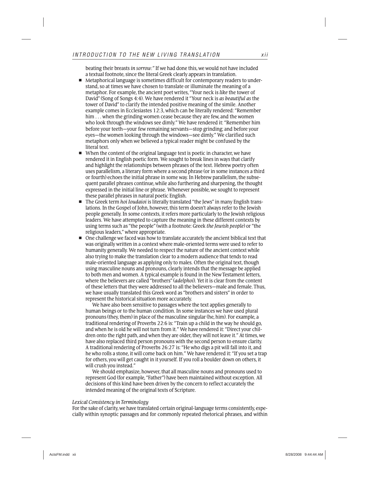beating their breasts *in sorrow."* If we had done this, we would not have included a textual footnote, since the literal Greek clearly appears in translation.

- Metaphorical language is sometimes difficult for contemporary readers to understand, so at times we have chosen to translate or illuminate the meaning of a metaphor. For example, the ancient poet writes, "Your neck is *like* the tower of David" (Song of Songs 4:4). We have rendered it "Your neck is *as beautiful as* the tower of David" to clarify the intended positive meaning of the simile. Another example comes in Ecclesiastes 12:3, which can be literally rendered: "Remember him . . . when the grinding women cease because they are few, and the women who look through the windows see dimly." We have rendered it: "Remember him before your teeth—your few remaining servants—stop grinding; and before your eyes—the women looking through the windows—see dimly." We clarified such metaphors only when we believed a typical reader might be confused by the literal text.
- When the content of the original language text is poetic in character, we have rendered it in English poetic form. We sought to break lines in ways that clarify and highlight the relationships between phrases of the text. Hebrew poetry often uses parallelism, a literary form where a second phrase (or in some instances a third or fourth) echoes the initial phrase in some way. In Hebrew parallelism, the subsequent parallel phrases continue, while also furthering and sharpening, the thought expressed in the initial line or phrase. Whenever possible, we sought to represent these parallel phrases in natural poetic English.
- The Greek term *hoi Ioudaioi* is literally translated "the Jews" in many English translations. In the Gospel of John, however, this term doesn't always refer to the Jewish people generally. In some contexts, it refers more particularly to the Jewish religious leaders. We have attempted to capture the meaning in these different contexts by using terms such as "the people" (with a footnote: Greek *the Jewish people*) or "the religious leaders," where appropriate.
- One challenge we faced was how to translate accurately the ancient biblical text that was originally written in a context where male-oriented terms were used to refer to humanity generally. We needed to respect the nature of the ancient context while also trying to make the translation clear to a modern audience that tends to read male-oriented language as applying only to males. Often the original text, though using masculine nouns and pronouns, clearly intends that the message be applied to both men and women. A typical example is found in the New Testament letters, where the believers are called "brothers" (*adelphoi*). Yet it is clear from the content of these letters that they were addressed to all the believers—male and female. Thus, we have usually translated this Greek word as "brothers and sisters" in order to represent the historical situation more accurately.

We have also been sensitive to passages where the text applies generally to human beings or to the human condition. In some instances we have used plural pronouns (they, them) in place of the masculine singular (he, him). For example, a traditional rendering of Proverbs 22:6 is: "Train up a child in the way he should go, and when he is old he will not turn from it." We have rendered it: "Direct your children onto the right path, and when they are older, they will not leave it." At times, we have also replaced third person pronouns with the second person to ensure clarity. A traditional rendering of Proverbs 26:27 is: "He who digs a pit will fall into it, and he who rolls a stone, it will come back on him." We have rendered it: "If you set a trap for others, you will get caught in it yourself. If you roll a boulder down on others, it will crush you instead."

We should emphasize, however, that all masculine nouns and pronouns used to represent God (for example, "Father") have been maintained without exception. All decisions of this kind have been driven by the concern to reflect accurately the intended meaning of the original texts of Scripture.

#### *Lexical Consistency in Terminology*

For the sake of clarity, we have translated certain original-language terms consistently, especially within synoptic passages and for commonly repeated rhetorical phrases, and within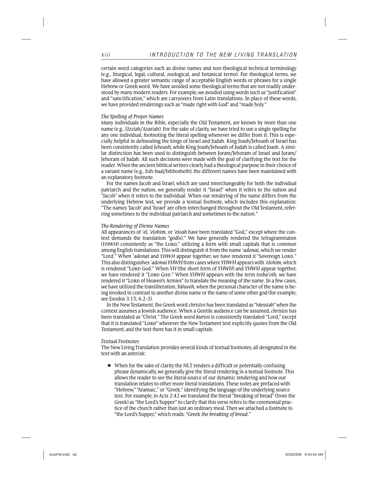certain word categories such as divine names and non-theological technical terminology (e.g., liturgical, legal, cultural, zoological, and botanical terms). For theological terms, we have allowed a greater semantic range of acceptable English words or phrases for a single Hebrew or Greek word. We have avoided some theological terms that are not readily understood by many modern readers. For example, we avoided using words such as "justification" and "sanctification," which are carryovers from Latin translations. In place of these words, we have provided renderings such as "made right with God" and "made holy."

#### *The Spelling of Proper Names*

Many individuals in the Bible, especially the Old Testament, are known by more than one name (e.g., Uzziah/Azariah). For the sake of clarity, we have tried to use a single spelling for any one individual, footnoting the literal spelling whenever we differ from it. This is especially helpful in delineating the kings of Israel and Judah. King Joash/Jehoash of Israel has been consistently called Jehoash, while King Joash/Jehoash of Judah is called Joash. A similar distinction has been used to distinguish between Joram/Jehoram of Israel and Joram/ Jehoram of Judah. All such decisions were made with the goal of clarifying the text for the reader. When the ancient biblical writers clearly had a theological purpose in their choice of a variant name (e.g., Esh-baal/Ishbosheth), the different names have been maintained with an explanatory footnote.

For the names Jacob and Israel, which are used interchangeably for both the individual patriarch and the nation, we generally render it "Israel" when it refers to the nation and " Jacob" when it refers to the individual. When our rendering of the name differs from the underlying Hebrew text, we provide a textual footnote, which includes this explanation: "The names 'Jacob' and 'Israel' are often interchanged throughout the Old Testament, referring sometimes to the individual patriarch and sometimes to the nation."

#### *The Rendering of Divine Names*

All appearances of *'el, 'elohim,* or *'eloah* have been translated "God," except where the context demands the translation "god(s)." We have generally rendered the tetragrammaton (*YHWH*) consistently as "the LORD," utilizing a form with small capitals that is common among English translations. This will distinguish it from the name *'adonai,*which we render "Lord." When *'adonai* and *YHWH* appear together, we have rendered it "Sovereign Lord." This also distinguishes*'adonai YHWH* from cases where *YHWH*appears with *'elohim,*which is rendered "Lord God." When *YH* (the short form of *YHWH*) and *YHWH* appear together, we have rendered it "Lord God." When *YHWH* appears with the term *tseba'oth*, we have rendered it "Lord of Heaven's Armies" to translate the meaning of the name. In a few cases, we have utilized the transliteration, *Yahweh,* when the personal character of the name is being invoked in contrast to another divine name or the name of some other god (for example, see Exodus 3:15; 6:2-3).

In the New Testament, the Greek word *christos* has been translated as "Messiah" when the context assumes a Jewish audience. When a Gentile audience can be assumed, *christos* has been translated as "Christ." The Greek word *kurios* is consistently translated "Lord," except that it is translated "LORD" wherever the New Testament text explicitly quotes from the Old Testament, and the text there has it in small capitals.

#### *Textual Footnotes*

The New Living Translation provides several kinds of textual footnotes, all designated in the text with an asterisk:

■ When for the sake of clarity the NLT renders a difficult or potentially confusing phrase dynamically, we generally give the literal rendering in a textual footnote. This allows the reader to see the literal source of our dynamic rendering and how our translation relates to other more literal translations. These notes are prefaced with "Hebrew," "Aramaic," or "Greek," identifying the language of the underlying source text. For example, in Acts 2:42 we translated the literal "breaking of bread" (from the Greek) as "the Lord's Supper" to clarify that this verse refers to the ceremonial practice of the church rather than just an ordinary meal. Then we attached a footnote to "the Lord's Supper," which reads: "Greek *the breaking of bread."*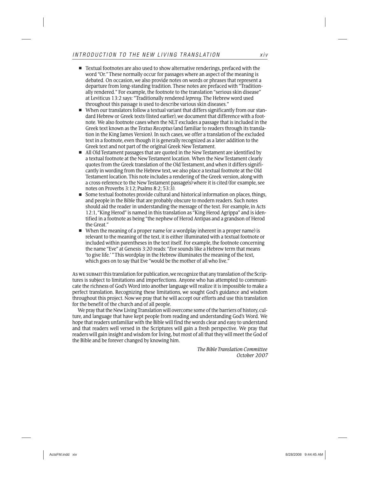- Textual footnotes are also used to show alternative renderings, prefaced with the word "Or." These normally occur for passages where an aspect of the meaning is debated. On occasion, we also provide notes on words or phrases that represent a departure from long-standing tradition. These notes are prefaced with "Traditionally rendered." For example, the footnote to the translation "serious skin disease" at Leviticus 13:2 says: "Traditionally rendered *leprosy.* The Hebrew word used throughout this passage is used to describe various skin diseases."
- When our translators follow a textual variant that differs significantly from our standard Hebrew or Greek texts (listed earlier), we document that difference with a footnote. We also footnote cases when the NLT excludes a passage that is included in the Greek text known as the *Textus Receptus* (and familiar to readers through its translation in the King James Version). In such cases, we offer a translation of the excluded text in a footnote, even though it is generally recognized as a later addition to the Greek text and not part of the original Greek New Testament.
- All Old Testament passages that are quoted in the New Testament are identified by a textual footnote at the New Testament location. When the New Testament clearly quotes from the Greek translation of the Old Testament, and when it differs significantly in wording from the Hebrew text, we also place a textual footnote at the Old Testament location. This note includes a rendering of the Greek version, along with a cross-reference to the New Testament passage(s) where it is cited (for example, see notes on Proverbs 3:12; Psalms 8:2; 53:3).
- Some textual footnotes provide cultural and historical information on places, things, and people in the Bible that are probably obscure to modern readers. Such notes should aid the reader in understanding the message of the text. For example, in Acts 12:1, "King Herod" is named in this translation as "King Herod Agrippa" and is identified in a footnote as being "the nephew of Herod Antipas and a grandson of Herod the Great."
- When the meaning of a proper name (or a wordplay inherent in a proper name) is relevant to the meaning of the text, it is either illuminated with a textual footnote or included within parentheses in the text itself. For example, the footnote concerning the name "Eve" at Genesis 3:20 reads: "*Eve* sounds like a Hebrew term that means 'to give life.' " This wordplay in the Hebrew illuminates the meaning of the text, which goes on to say that Eve "would be the mother of all who live."

As we submit this translation for publication, we recognize that any translation of the Scriptures is subject to limitations and imperfections. Anyone who has attempted to communicate the richness of God's Word into another language will realize it is impossible to make a perfect translation. Recognizing these limitations, we sought God's guidance and wisdom throughout this project. Now we pray that he will accept our efforts and use this translation for the benefit of the church and of all people.

We pray that the New Living Translation will overcome some of the barriers of history, culture, and language that have kept people from reading and understanding God's Word. We hope that readers unfamiliar with the Bible will find the words clear and easy to understand and that readers well versed in the Scriptures will gain a fresh perspective. We pray that readers will gain insight and wisdom for living, but most of all that they will meet the God of the Bible and be forever changed by knowing him.

> *The Bible Translation Committee October 2007*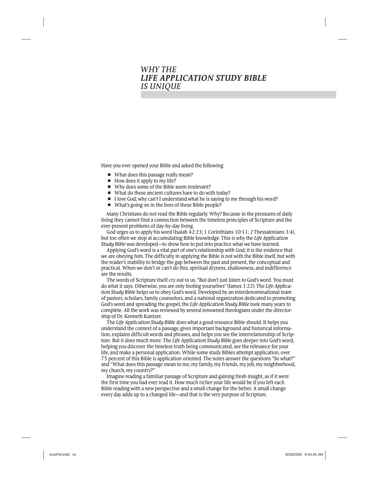# *WHY THE LIFE APPLICATION STUDY BIBLE IS UNIQUE*

Have you ever opened your Bible and asked the following:

- What does this passage really mean?
- How does it apply to my life?
- Why does some of the Bible seem irrelevant?
- What do these ancient cultures have to do with today?
- I love God; why can't I understand what he is saying to me through his word?
- What's going on in the lives of these Bible people?

Many Christians do not read the Bible regularly. Why? Because in the pressures of daily living they cannot find a connection between the timeless principles of Scripture and the ever-present problems of day-by-day living.

God urges us to apply his word (Isaiah 42:23; 1 Corinthians 10:11; 2 Thessalonians 3:4), but too often we stop at accumulating Bible knowledge. This is why the *Life Application Study Bible* was developed—to show how to put into practice what we have learned.

Applying God's word is a vital part of one's relationship with God; it is the evidence that we are obeying him. The difficulty in applying the Bible is not with the Bible itself, but with the reader's inability to bridge the gap between the past and present, the conceptual and practical. When we don't or can't do this, spiritual dryness, shallowness, and indifference are the results.

The words of Scripture itself cry out to us, "But don't just listen to God's word. You must do what it says. Otherwise, you are only fooling yourselves" (James 1:22). The *Life Application Study Bible* helps us to obey God's word. Developed by an interdenominational team of pastors, scholars, family counselors, and a national organization dedicated to promoting God's word and spreading the gospel, the *Life Application Study Bible* took many years to complete. All the work was reviewed by several renowned theologians under the directorship of Dr. Kenneth Kantzer.

The *Life Application Study Bible* does what a good resource Bible should: It helps you understand the context of a passage, gives important background and historical information, explains difficult words and phrases, and helps you see the interrelationship of Scripture. But it does much more. The *Life Application Study Bible* goes deeper into God's word, helping you discover the timeless truth being communicated, see the relevance for your life, and make a personal application. While some study Bibles attempt application, over 75 percent of this Bible is application oriented. The notes answer the questions "So what?" and "What does this passage mean to me, my family, my friends, my job, my neighborhood, my church, my country?"

Imagine reading a familiar passage of Scripture and gaining fresh insight, as if it were the first time you had ever read it. How much richer your life would be if you left each Bible reading with a new perspective and a small change for the better. A small change every day adds up to a changed life—and that is the very purpose of Scripture.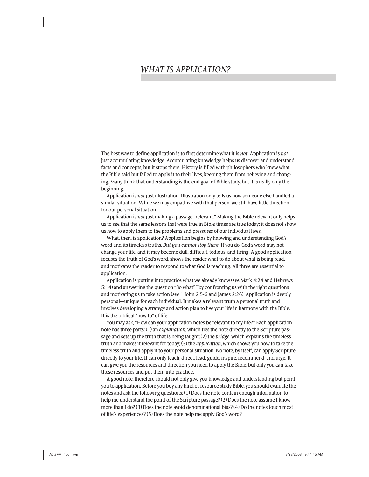# *WHAT IS APPLICATION?*

The best way to define application is to first determine what it is *not*. Application is *not* just accumulating knowledge. Accumulating knowledge helps us discover and understand facts and concepts, but it stops there. History is filled with philosophers who knew what the Bible said but failed to apply it to their lives, keeping them from believing and changing. Many think that understanding is the end goal of Bible study, but it is really only the beginning.

Application is *not* just illustration. Illustration only tells us how someone else handled a similar situation. While we may empathize with that person, we still have little direction for our personal situation.

Application is *not* just making a passage "relevant." Making the Bible relevant only helps us to see that the same lessons that were true in Bible times are true today; it does not show us how to apply them to the problems and pressures of our individual lives.

What, then, is application? Application begins by knowing and understanding God's word and its timeless truths. *But you cannot stop there.* If you do, God's word may not change your life, and it may become dull, difficult, tedious, and tiring. A good application focuses the truth of God's word, shows the reader what to do about what is being read, and motivates the reader to respond to what God is teaching. All three are essential to application.

Application is putting into practice what we already know (see Mark 4:24 and Hebrews 5:14) and answering the question "So what?" by confronting us with the right questions and motivating us to take action (see 1 John 2:5-6 and James 2:26). Application is deeply personal—unique for each individual. It makes a relevant truth a personal truth and involves developing a strategy and action plan to live your life in harmony with the Bible. It is the biblical "how to" of life.

You may ask, "How can your application notes be relevant to my life?" Each application note has three parts: (1) an *explanation*, which ties the note directly to the Scripture passage and sets up the truth that is being taught; (2) the *bridge*, which explains the timeless truth and makes it relevant for today; (3) the *application*, which shows you how to take the timeless truth and apply it to your personal situation. No note, by itself, can apply Scripture directly to your life. It can only teach, direct, lead, guide, inspire, recommend, and urge. It can give you the resources and direction you need to apply the Bible, but only you can take these resources and put them into practice.

A good note, therefore should not only give you knowledge and understanding but point you to application. Before you buy any kind of resource study Bible, you should evaluate the notes and ask the following questions: (1) Does the note contain enough information to help me understand the point of the Scripture passage? (2) Does the note assume I know more than I do? (3) Does the note avoid denominational bias? (4) Do the notes touch most of life's experiences? (5) Does the note help me apply God's word?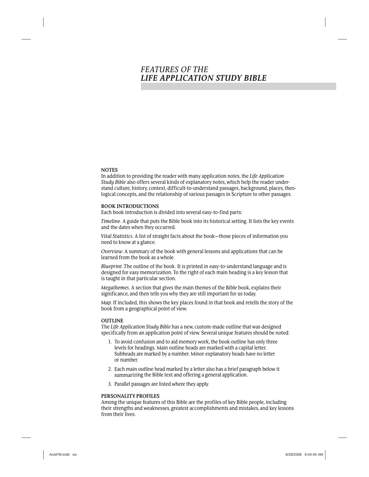# *FEATURES OF THE LIFE APPLICATION STUDY BIBLE*

#### **NOTES**

In addition to providing the reader with many application notes, the *Life Application Study Bible* also offers several kinds of explanatory notes, which help the reader understand culture, history, context, difficult-to-understand passages, background, places, theological concepts, and the relationship of various passages in Scripture to other passages.

#### **BOOK INTRODUCTIONS**

Each book introduction is divided into several easy-to-find parts:

*Timeline.* A guide that puts the Bible book into its historical setting. It lists the key events and the dates when they occurred.

*Vital Statistics.* A list of straight facts about the book—those pieces of information you need to know at a glance.

*Overview.* A summary of the book with general lessons and applications that can be learned from the book as a whole.

*Blueprint.*The outline of the book. It is printed in easy-to-understand language and is designed for easy memorization. To the right of each main heading is a key lesson that is taught in that particular section.

*Megathemes.* A section that gives the main themes of the Bible book, explains their significance, and then tells you why they are still important for us today.

*Map.* If included, this shows the key places found in that book and retells the story of the book from a geographical point of view.

#### **OUTLINE**

The *Life Application Study Bible* has a new, custom-made outline that was designed specifically from an application point of view. Several unique features should be noted:

- 1. To avoid confusion and to aid memory work, the book outline has only three levels for headings. Main outline heads are marked with a capital letter. Subheads are marked by a number. Minor explanatory heads have no letter or number.
- 2. Each main outline head marked by a letter also has a brief paragraph below it summarizing the Bible text and offering a general application.
- 3. Parallel passages are listed where they apply.

#### **PERSONALITY PROFILES**

Among the unique features of this Bible are the profiles of key Bible people, including their strengths and weaknesses, greatest accomplishments and mistakes, and key lessons from their lives.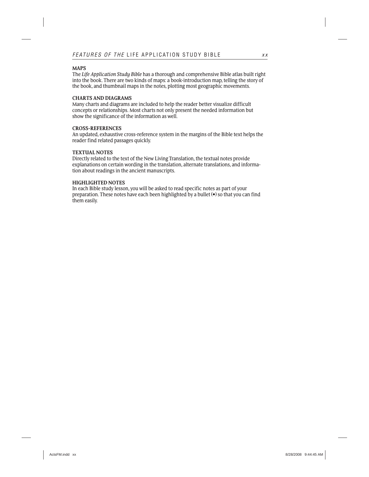#### **MAPS**

The *Life Application Study Bible* has a thorough and comprehensive Bible atlas built right into the book. There are two kinds of maps: a book-introduction map, telling the story of the book, and thumbnail maps in the notes, plotting most geographic movements.

#### **CHARTS AND DIAGRAMS**

Many charts and diagrams are included to help the reader better visualize difficult concepts or relationships. Most charts not only present the needed information but show the significance of the information as well.

#### **CROSS-REFERENCES**

An updated, exhaustive cross-reference system in the margins of the Bible text helps the reader find related passages quickly.

#### **TEXTUAL NOTES**

Directly related to the text of the New Living Translation, the textual notes provide explanations on certain wording in the translation, alternate translations, and information about readings in the ancient manuscripts.

#### **HIGHLIGHTED NOTES**

In each Bible study lesson, you will be asked to read specific notes as part of your preparation. These notes have each been highlighted by a bullet (•) so that you can find them easily.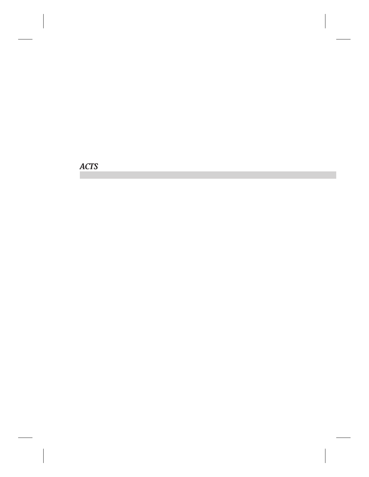# *ACTS*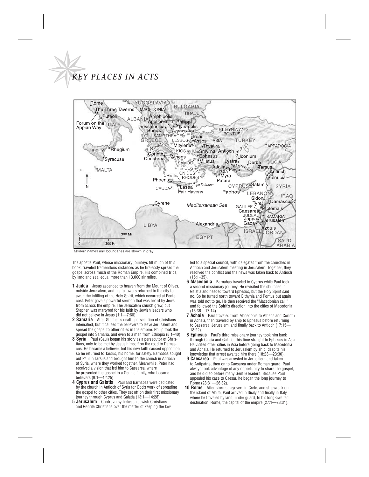# ✵*KEY PLACES IN ACTS*



Modern names and boundaries are shown in gray.

The apostle Paul, whose missionary journeys fill much of this book, traveled tremendous distances as he tirelessly spread the gospel across much of the Roman Empire. His combined trips, by land and sea, equal more than 13,000 air miles.

- **1 Judea** Jesus ascended to heaven from the Mount of Olives, outside Jerusalem, and his followers returned to the city to await the infilling of the Holy Spirit, which occurred at Pentecost. Peter gave a powerful sermon that was heard by Jews from across the empire. The Jerusalem church grew, but Stephen was martyred for his faith by Jewish leaders who did not believe in Jesus (1:1—7:60).
- **2 Samaria** After Stephen's death, persecution of Christians intensified, but it caused the believers to leave Jerusalem and spread the gospel to other cities in the empire. Philip took the gospel into Samaria, and even to a man from Ethiopia (8:1–40).
- **3 Syria** Paul (Saul) began his story as a persecutor of Christians, only to be met by Jesus himself on the road to Damascus. He became a believer, but his new faith caused opposition, so he returned to Tarsus, his home, for safety. Barnabas sought out Paul in Tarsus and brought him to the church in Antioch of Syria, where they worked together. Meanwhile, Peter had received a vision that led him to Caesarea, where he presented the gospel to a Gentile family, who became believers (9:1—12:25).
- **4 Cyprus and Galatia** Paul and Barnabas were dedicated by the church in Antioch of Syria for God's work of spreading the gospel to other cities. They set off on their first missionary journey through Cyprus and Galatia (13:1—14:28).
- **5 Jerusalem** Controversy between Jewish Christians and Gentile Christians over the matter of keeping the law

led to a special council, with delegates from the churches in Antioch and Jerusalem meeting in Jerusalem. Together, they resolved the conflict and the news was taken back to Antioch (15:1–35).

- **6 Macedonia** Barnabas traveled to Cyprus while Paul took a second missionary journey. He revisited the churches in Galatia and headed toward Ephesus, but the Holy Spirit said no. So he turned north toward Bithynia and Pontus but again was told not to go. He then received the "Macedonian call," and followed the Spirit's direction into the cities of Macedonia (15:36—17:14).
- **7 Achaia** Paul traveled from Macedonia to Athens and Corinth in Achaia, then traveled by ship to Ephesus before returning to Caesarea, Jerusalem, and finally back to Antioch (17:15— 18:22).
- **8 Ephesus** Paul's third missionary journey took him back through Cilicia and Galatia, this time straight to Ephesus in Asia. He visited other cities in Asia before going back to Macedonia and Achaia. He returned to Jerusalem by ship, despite his knowledge that arrest awaited him there (18:23—23:30).
- **9 Caesarea** Paul was arrested in Jerusalem and taken to Antipatris, then on to Caesarea under Roman guard. Paul always took advantage of any opportunity to share the gospel, and he did so before many Gentile leaders. Because Paul appealed his case to Caesar, he began the long journey to Rome (23:31—26:32).
- **10 Rome** After storms, layovers in Crete, and shipwreck on the island of Malta, Paul arrived in Sicily and finally in Italy, where he traveled by land, under guard, to his long-awaited destination: Rome, the capital of the empire (27:1—28:31).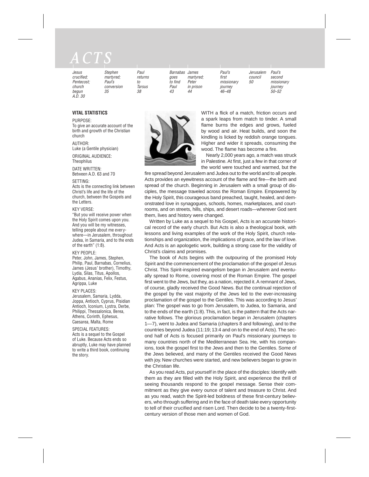# *ACTS*

| Jesus<br>crucified:<br>Pentecost:<br>church<br>begun<br>A.D. 30 | Stephen<br>martyred;<br>Paul's<br>conversion<br>35 | Paul<br>returns<br>to<br>Tarsus<br>38 | Barnabas James<br>aoes<br>to find<br>Paul<br>43 | martyred:<br>Peter<br>in prison<br>44 | Paul's<br>first<br>missionary<br>journey<br>$46 - 48$ | Jerusalem<br>council<br>50 | Paul's<br>second<br>missionary<br>journey<br>$50 - 52$ |
|-----------------------------------------------------------------|----------------------------------------------------|---------------------------------------|-------------------------------------------------|---------------------------------------|-------------------------------------------------------|----------------------------|--------------------------------------------------------|

#### **VITAL STATISTICS**

#### PURPOSE:

To give an accurate account of the birth and growth of the Christian church

#### AUTHOR:

Luke (a Gentile physician)

ORIGINAL AUDIENCE: **Theophilus** 

#### DATE WRITTEN:

Between A.D. 63 and 70

#### SETTING:

Acts is the connecting link between Christ's life and the life of the church, between the Gospels and the Letters.

#### KEY VERSE:

"But you will receive power when the Holy Spirit comes upon you. And you will be my witnesses, telling people about me everywhere—in Jerusalem, throughout Judea, in Samaria, and to the ends of the earth" (1:8).

#### KEY PEOPLE:

Peter, John, James, Stephen, Philip, Paul, Barnabas, Cornelius, James (Jesus' brother), Timothy, Lydia, Silas, Titus, Apollos, Agabus, Ananias, Felix, Festus, Agrippa, Luke

#### KEY PLACES:

Jerusalem, Samaria, Lydda, Joppa, Antioch, Cyprus, Pisidian Antioch, Iconium, Lystra, Derbe, Philippi, Thessalonica, Berea, Athens, Corinth, Ephesus, Caesarea, Malta, Rome

#### SPECIAL FEATURES:

Acts is a sequel to the Gospel of Luke. Because Acts ends so abruptly, Luke may have planned to write a third book, continuing the story.



WITH a flick of a match, friction occurs and a spark leaps from match to tinder. A small flame burns the edges and grows, fueled by wood and air. Heat builds, and soon the kindling is licked by reddish orange tongues. Higher and wider it spreads, consuming the wood. The flame has become a fire.

Nearly 2,000 years ago, a match was struck in Palestine. At first, just a few in that corner of the world were touched and warmed, but the

fire spread beyond Jerusalem and Judea out to the world and to all people. Acts provides an eyewitness account of the flame and fire—the birth and spread of the church. Beginning in Jerusalem with a small group of disciples, the message traveled across the Roman Empire. Empowered by the Holy Spirit, this courageous band preached, taught, healed, and demonstrated love in synagogues, schools, homes, marketplaces, and courtrooms, and on streets, hills, ships, and desert roads—wherever God sent them, lives and history were changed.

Written by Luke as a sequel to his Gospel, Acts is an accurate historical record of the early church. But Acts is also a theological book, with lessons and living examples of the work of the Holy Spirit, church relationships and organization, the implications of grace, and the law of love. And Acts is an apologetic work, building a strong case for the validity of Christ's claims and promises.

The book of Acts begins with the outpouring of the promised Holy Spirit and the commencement of the proclamation of the gospel of Jesus Christ. This Spirit-inspired evangelism began in Jerusalem and eventually spread to Rome, covering most of the Roman Empire. The gospel first went to the Jews, but they, as a nation, rejected it. A remnant of Jews, of course, gladly received the Good News. But the continual rejection of the gospel by the vast majority of the Jews led to the ever-increasing proclamation of the gospel to the Gentiles. This was according to Jesus' plan: The gospel was to go from Jerusalem, to Judea, to Samaria, and to the ends of the earth (1:8). This, in fact, is the pattern that the Acts narrative follows. The glorious proclamation began in Jerusalem (chapters 1—7), went to Judea and Samaria (chapters 8 and following), and to the countries beyond Judea (11:19; 13:4 and on to the end of Acts). The second half of Acts is focused primarily on Paul's missionary journeys to many countries north of the Mediterranean Sea. He, with his companions, took the gospel first to the Jews and then to the Gentiles. Some of the Jews believed, and many of the Gentiles received the Good News with joy. New churches were started, and new believers began to grow in the Christian life.

As you read Acts, put yourself in the place of the disciples: Identify with them as they are filled with the Holy Spirit, and experience the thrill of seeing thousands respond to the gospel message. Sense their commitment as they give every ounce of talent and treasure to Christ. And as you read, watch the Spirit-led boldness of these first-century believers, who through suffering and in the face of death take every opportunity to tell of their crucified and risen Lord. Then decide to be a twenty-firstcentury version of those men and women of God.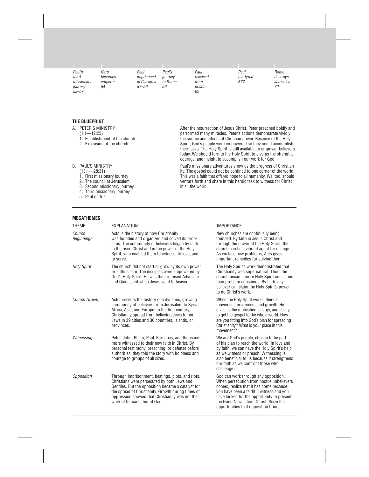| Paul's     | Nero    | Paul        | Paul's  | Paul     | Paul     | Rome      |
|------------|---------|-------------|---------|----------|----------|-----------|
| third      | becomes | imprisoned  | journey | released | martyred | destroys  |
| missionary | emperor | in Caesarea | to Rome | from     | 67?      | Jerusalem |
| journey    | 54      | 57-59       | 59      | prison   |          | 70        |
| $53 - 57$  |         |             |         | 62       |          |           |

#### **THE BLUEPRINT**

- A. PETER'S MINISTRY
	- (1:1—12:25)
	- 1. Establishment of the church
	- 2. Expansion of the church
- B. PAUL'S MINISTRY
	- (13:1—28:31)
	- 1. First missionary journey
	- 2. The council at Jerusalem
	- 3. Second missionary journey
	- 4. Third missionary journey
	- 5. Paul on trial

#### **MEGATHEMES**

performed many miracles. Peter's actions demonstrate vividly the source and effects of Christian power. Because of the Holy Spirit, God's people were empowered so they could accomplish their tasks. The Holy Spirit is still available to empower believers today. We should turn to the Holy Spirit to give us the strength, courage, and insight to accomplish our work for God.

Paul's missionary adventures show us the progress of Christianity. The gospel could not be confined to one corner of the world. This was a faith that offered hope to all humanity. We, too, should venture forth and share in this heroic task to witness for Christ in all the world.

After the resurrection of Jesus Christ, Peter preached boldly and

| Church<br><b>Beginnings</b> | Acts is the history of how Christianity<br>was founded and organized and solved its prob-<br>lems. The community of believers began by faith<br>in the risen Christ and in the power of the Holy<br>Spirit, who enabled them to witness, to love, and<br>to serve                            |
|-----------------------------|----------------------------------------------------------------------------------------------------------------------------------------------------------------------------------------------------------------------------------------------------------------------------------------------|
| <b>Holy Spirit</b>          | The church did not start or grow by its own power<br>or enthusiasm. The disciples were empowered by<br>God's Holy Spirit. He was the promised Advocate<br>and Guide sent when Jesus went to heaven.                                                                                          |
| Church Growth               | Acts presents the history of a dynamic, growing<br>community of believers from Jerusalem to Syria,<br>Africa, Asia, and Europe. In the first century,<br>Christianity spread from believing Jews to non-<br>Jews in 39 cities and 30 countries, islands, or<br>provinces.                    |
| Witnessina                  | Peter, John, Philip, Paul, Barnabas, and thousands<br>more witnessed to their new faith in Christ. By<br>personal testimony, preaching, or defense before<br>authorities, they told the story with boldness and<br>courage to groups of all sizes.                                           |
| <i><b>Opposition</b></i>    | Through imprisonment, beatings, plots, and riots,<br>Christians were persecuted by both Jews and<br>Gentiles. But the opposition became a catalyst for<br>the spread of Christianity. Growth during times of<br>oppression showed that Christianity was not the<br>work of humans hut of God |

#### THEME EXPLANATION EXPLANATION **IMPORTANCE**

New churches are continually being founded. By faith in Jesus Christ and through the power of the Holy Spirit, the church can be a vibrant agent for change. As we face new problems, Acts gives important remedies for solving them.

The Holy Spirit's work demonstrated that Christianity was supernatural. Thus, the church became more Holy Spirit conscious than problem conscious. By faith, any believer can claim the Holy Spirit's power to do Christ's work.

When the Holy Spirit works, there is movement, excitement, and growth. He gives us the motivation, energy, and ability to get the gospel to the whole world. How are you fitting into God's plan for spreading Christianity? What is your place in this movement?

We are God's people, chosen to be part of his plan to reach the world. In love and by faith, we can have the Holy Spirit's help as we witness or preach. Witnessing is also beneficial to us because it strengthens our faith as we confront those who challenge it.

God can work through any opposition. When persecution from hostile unbelievers comes, realize that it has come because you have been a faithful witness and you have looked for the opportunity to present the Good News about Christ. Seize the opportunities that opposition brings.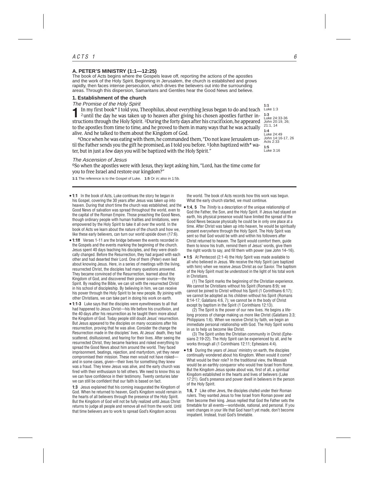#### **A. PETER'S MINISTRY (1:1—12:25)**

The book of Acts begins where the Gospels leave off, reporting the actions of the apostles and the work of the Holy Spirit. Beginning in Jerusalem, the church is established and grows rapidly, then faces intense persecution, which drives the believers out into the surrounding areas. Through this dispersion, Samaritans and Gentiles hear the Good News and believe.

#### **1. Establishment of the church**

The Promise of the Holy Spirit

**1** In my first book\* I told you, Theophilus, about everything Jesus began to do and teach <sup>2</sup> until the day he was taken up to heaven after giving his chosen apostles further instructions through the Holy Spirit. <sup>3</sup>During the forty days after his crucifixion, he appeared to the apostles from time to time, and he proved to them in many ways that he was actually alive. And he talked to them about the Kingdom of God.

4Once when he was eating with them, he commanded them, "Do not leave Jerusalem until the Father sends you the gift he promised, as I told you before. <sup>5</sup>John baptized with\* water, but in just a few days you will be baptized with the Holy Spirit."

#### The Ascension of Jesus

<sup>6</sup>So when the apostles were with Jesus, they kept asking him, "Lord, has the time come for you to free Israel and restore our kingdom?"

**1:1** The reference is to the Gospel of Luke. **1:5** Or in; also in 1:5b.

- **1:1** In the book of Acts, Luke continues the story he began in his Gospel, covering the 30 years after Jesus was taken up into heaven. During that short time the church was established, and the Good News of salvation was spread throughout the world, even to the capital of the Roman Empire. Those preaching the Good News, though ordinary people with human frailties and limitations, were empowered by the Holy Spirit to take it all over the world. In the book of Acts we learn about the nature of the church and how we, like these early believers, can turn our world upside down (17:6).
- **1:1ff** Verses 1-11 are the bridge between the events recorded in the Gospels and the events marking the beginning of the church. Jesus spent 40 days teaching his disciples, and they were drastically changed. Before the Resurrection, they had argued with each other and had deserted their Lord. One of them (Peter) even lied about knowing Jesus. Here, in a series of meetings with the living, resurrected Christ, the disciples had many questions answered. They became convinced of the Resurrection, learned about the Kingdom of God, and discovered their power source—the Holy Spirit. By reading the Bible, we can sit with the resurrected Christ in his school of discipleship. By believing in him, we can receive his power through the Holy Spirit to be new people. By joining with other Christians, we can take part in doing his work on earth.
- **1:1-3** Luke says that the disciples were eyewitnesses to all that had happened to Jesus Christ—his life before his crucifixion, and the 40 days after his resurrection as he taught them more about the Kingdom of God. Today people still doubt Jesus' resurrection. But Jesus appeared to the disciples on many occasions after his resurrection, proving that he was alive. Consider the change the Resurrection made in the disciples' lives. At Jesus' death, they had scattered, disillusioned, and fearing for their lives. After seeing the resurrected Christ, they became fearless and risked everything to spread the Good News about him around the world. They faced imprisonment, beatings, rejection, and martyrdom, yet they never compromised their mission. These men would not have risked and in some cases, given—their lives for something they knew was a fraud. They knew Jesus was alive, and the early church was fired with their enthusiasm to tell others. We need to know this so we can have confidence in their testimony. Twenty centuries later we can still be confident that our faith is based on fact.

**1:3** Jesus explained that his coming inaugurated the Kingdom of God. When he returned to heaven, God's Kingdom would remain in the hearts of all believers through the presence of the Holy Spirit. But the Kingdom of God will not be fully realized until Jesus Christ returns to judge all people and remove all evil from the world. Until that time believers are to work to spread God's Kingdom across

the world. The book of Acts records how this work was begun. What the early church started, we must continue.

- **1:4, 5** The Trinity is a description of the unique relationship of God the Father, the Son, and the Holy Spirit. If Jesus had stayed on earth, his physical presence would have limited the spread of the Good News because physically he could be in only one place at a time. After Christ was taken up into heaven, he would be spiritually present everywhere through the Holy Spirit. The Holy Spirit was sent so that God would be with and within his followers after Christ returned to heaven. The Spirit would comfort them, guide them to know his truth, remind them of Jesus' words, give them the right words to say, and fill them with power (see John 14–16).
- **1:5** At Pentecost (2:1-4) the Holy Spirit was made available to all who believed in Jesus. We receive the Holy Spirit (are baptized with him) when we receive Jesus Christ as our Savior. The baptism of the Holy Spirit must be understood in the light of his total work in Christians.

(1) The Spirit marks the beginning of the Christian experience. We cannot be Christians without his Spirit (Romans 8:9); we cannot be joined to Christ without his Spirit (1 Corinthians 6:17); we cannot be adopted as his children without his Spirit (Romans 8:14-17; Galatians 4:6, 7); we cannot be in the body of Christ except by baptism in the Spirit (1 Corinthians 12:13).

(2) The Spirit is the power of our new lives. He begins a lifelong process of change making us more like Christ (Galatians 3:3; Philippians 1:6). When we receive Christ by faith, we begin an immediate personal relationship with God. The Holy Spirit works in us to help us become like Christ.

(3) The Spirit unites the Christian community in Christ (Ephesians 2:19-22). The Holy Spirit can be experienced by all, and he works through all (1 Corinthians 12:11; Ephesians 4:4).

• **1:6** During the years of Jesus' ministry on earth, the disciples continually wondered about his Kingdom. When would it come? What would be their role? In the traditional view, the Messiah would be an earthly conqueror who would free Israel from Rome. But the Kingdom Jesus spoke about was, first of all, a spiritual Kingdom established in the hearts and lives of believers (Luke 17:21). God's presence and power dwell in believers in the person of the Holy Spirit.

**1:6, 7** Like other Jews, the disciples chafed under their Roman rulers. They wanted Jesus to free Israel from Roman power and then become their king. Jesus replied that God the Father sets the timetable for all events—worldwide, national, and personal. If you want changes in your life that God hasn't yet made, don't become impatient. Instead, trust God's timetable.

**1:1** Luke 1:3 **1:3** Luke 24:33-36 John 20:19, 26; 21:1, 14 **1:4** Luke 24:49 John 14:16-17, 26  $Arte 2.33$ **1:5**  $L$ uke 3:16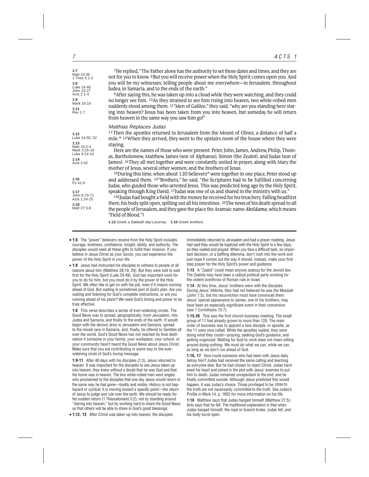| 1:7<br>Matt 24:36<br>1 Thes 5:1-2<br>1:8<br>Luke 24:48<br>John 15:27<br>Acts 2:1-4<br>1:9<br>Mark 16:19<br>1:11<br><b>Rev 1:7</b> | 7He replied, "The Father alone has the authority to set those dates and times, and they are<br>not for you to know. <sup>8</sup> But you will receive power when the Holy Spirit comes upon you. And<br>you will be my witnesses, telling people about me everywhere—in Jerusalem, throughout<br>Judea, in Samaria, and to the ends of the earth."<br><sup>9</sup> After saying this, he was taken up into a cloud while they were watching, and they could<br>no longer see him. <sup>10</sup> As they strained to see him rising into heaven, two white-robed men<br>suddenly stood among them. 11"Men of Galilee," they said, "why are you standing here star-<br>ing into heaven? Jesus has been taken from you into heaven, but someday he will return<br>from heaven in the same way you saw him go!" |
|-----------------------------------------------------------------------------------------------------------------------------------|-------------------------------------------------------------------------------------------------------------------------------------------------------------------------------------------------------------------------------------------------------------------------------------------------------------------------------------------------------------------------------------------------------------------------------------------------------------------------------------------------------------------------------------------------------------------------------------------------------------------------------------------------------------------------------------------------------------------------------------------------------------------------------------------------------------|
| 1:12<br>Luke 24:50, 52<br>1:13<br>Matt 10:2-4                                                                                     | <b>Matthias Replaces Judas</b><br><sup>12</sup> Then the apostles returned to Jerusalem from the Mount of Olives, a distance of half a<br>mile.* 13 When they arrived, they went to the upstairs room of the house where they were<br>staying.                                                                                                                                                                                                                                                                                                                                                                                                                                                                                                                                                              |
| Mark 3:16-19<br>Luke 6:14-16<br>1:14<br>Acts 2:42                                                                                 | Here are the names of those who were present: Peter, John, James, Andrew, Philip, Thom-<br>as, Bartholomew, Matthew, James (son of Alphaeus), Simon (the Zealot), and Judas (son of<br>James). <sup>14</sup> They all met together and were constantly united in prayer, along with Mary the<br>mother of Jesus, several other women, and the brothers of Jesus.                                                                                                                                                                                                                                                                                                                                                                                                                                            |
| 1:16<br>Ps 41:9                                                                                                                   | <sup>15</sup> During this time, when about 120 believers* were together in one place, Peter stood up<br>and addressed them. 16"Brothers," he said, "the Scriptures had to be fulfilled concerning<br>Judas, who guided those who arrested Jesus. This was predicted long ago by the Holy Spirit,                                                                                                                                                                                                                                                                                                                                                                                                                                                                                                            |
| 1:17<br>John 6:70-71<br>Acts 1:24-25                                                                                              | speaking through King David. 17 Judas was one of us and shared in the ministry with us."<br><sup>18</sup> (Judas had bought a field with the money he received for his treachery. Falling headfirst                                                                                                                                                                                                                                                                                                                                                                                                                                                                                                                                                                                                         |
| 1:18<br>Matt 27:3-8                                                                                                               | there, his body split open, spilling out all his intestines. <sup>19</sup> The news of his death spread to all<br>the people of Jerusalem, and they gave the place the Aramaic name Akeldama, which means<br>"Field of Blood.")                                                                                                                                                                                                                                                                                                                                                                                                                                                                                                                                                                             |
|                                                                                                                                   | 1:12 Greek a Sabbath day's journey. 1:15 Greek brothers.                                                                                                                                                                                                                                                                                                                                                                                                                                                                                                                                                                                                                                                                                                                                                    |

- **1:8** The "power" believers receive from the Holy Spirit includes courage, boldness, confidence, insight, ability, and authority. The disciples would need all these gifts to fulfill their mission. If you believe in Jesus Christ as your Savior, you can experience the power of the Holy Spirit in your life.
- **1:8** Jesus had instructed his disciples to witness to people of all nations about him (Matthew 28:19, 20). But they were told to wait first for the Holy Spirit (Luke 24:49). God has important work for you to do for him, but you must do it by the power of the Holy Spirit. We often like to get on with the job, even if it means running ahead of God. But waiting is sometimes part of God's plan. Are you waiting and listening for God's complete instructions, or are you running ahead of his plans? We need God's timing and power to be truly effective.

**1:8** This verse describes a series of ever-widening circles. The Good News was to spread, geographically, from Jerusalem. into Judea and Samaria, and finally to the ends of the earth. It would begin with the devout Jews in Jerusalem and Samaria, spread to the mixed race in Samaria, and, finally, be offered to Gentiles all over the world. God's Good News has not reached its final destination if someone in your family, your workplace, your school, or your community hasn't heard the Good News about Jesus Christ. Make sure that you are contributing in some way to the everwidening circle of God's loving message.

**1:9-11** After 40 days with his disciples (1:3), Jesus returned to heaven. It was important for the disciples to see Jesus taken up into heaven; they knew without a doubt that he was God and that his home was in heaven. The two white-robed men were angels who proclaimed to the disciples that one day Jesus would return in the same way he had gone—bodily and visibly. History is not haphazard or cyclical; it is moving toward a specific point—the return of Jesus to judge and rule over the earth. We should be ready for his sudden return (1 Thessalonians 5:2), not by standing around "staring into heaven," but by working hard to share the Good News so that others will be able to share in God's great blessings.

• **1:12, 13** After Christ was taken up into heaven, the disciples

immediately returned to Jerusalem and had a prayer meeting. Jesus had said they would be baptized with the Holy Spirit in a few days, so they waited and prayed. When you face a difficult task, an important decision, or a baffling dilemma, don't rush into the work and just hope it comes out the way it should. Instead, make your first step prayer for the Holy Spirit's power and guidance.

**1:13** A "Zealot" could mean anyone zealous for the Jewish law. The Zealots may have been a radical political party working for the violent overthrow of Roman rule in Israel.

**1:14** At this time, Jesus' brothers were with the disciples. During Jesus' lifetime, they had not believed he was the Messiah (John 7:5), but his resurrection must have convinced them. Jesus' special appearance to James, one of his brothers, may have been an especially significant event in their conversion (see 1 Corinthians 15:7).

**1:15-26** This was the first church business meeting. The small group of 11 had already grown to more than 120. The main order of business was to appoint a new disciple, or apostle, as the 11 were now called. While the apostles waited, they were doing what they could—praying, seeking God's guidance, and getting organized. Waiting for God to work does not mean sitting around doing nothing. We must do what we can, while we can, as long as we don't run ahead of God.

**1:16, 17** How could someone who had been with Jesus daily betray him? Judas had received the same calling and teaching as everyone else. But he had chosen to reject Christ. Judas hardened his heart and joined in the plot with Jesus' enemies to put him to death. Judas remained unrepentant to the end, and he finally committed suicide. Although Jesus predicted this would happen, it was Judas's choice. Those privileged to be close to the truth are not necessarily *committed* to the truth. See Judas's Profile in Mark 14, p. 1655 for more information on his life.

**1:18** Matthew says that Judas hanged himself (Matthew 27:5); Acts says that he fell. The traditional explanation is that when Judas hanged himself, the rope or branch broke, Judas fell, and his body burst open.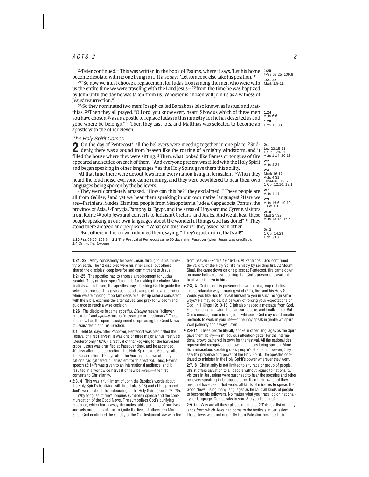<sup>20</sup>Peter continued, "This was written in the book of Psalms, where it says, 'Let his home become desolate, with no one living in it.' It also says, 'Let someone else take his position.'\*

<sup>21</sup>"So now we must choose a replacement for Judas from among the men who were with us the entire time we were traveling with the Lord Jesus—<sup>22</sup>from the time he was baptized by John until the day he was taken from us. Whoever is chosen will join us as a witness of Jesus' resurrection."

<sup>23</sup> So they nominated two men: Joseph called Barsabbas (also known as Justus) and Matthias. <sup>24</sup>Then they all prayed, "O Lord, you know every heart. Show us which of these men **1:24** you have chosen <sup>25</sup> as an apostle to replace Judas in this ministry, for he has deserted us and gone where he belongs." <sup>26</sup>Then they cast lots, and Matthias was selected to become an  $\frac{1}{1000}$  16:33 apostle with the other eleven.

#### The Holy Spirit Comes

**2** On the day of Pentecost\* all the believers were meeting together in one place. <sup>2</sup>Sud-<br>denly, there was a sound from heaven like the roaring of a mighty windstorm, and it filled the house where they were sitting. <sup>3</sup>Then, what looked like flames or tongues of fire appeared and settled on each of them. <sup>4</sup>And everyone present was filled with the Holy Spirit and began speaking in other languages,\* as the Holy Spirit gave them this ability.

<sup>5</sup>At that time there were devout Jews from every nation living in Jerusalem. <sup>6</sup>When they heard the loud noise, everyone came running, and they were bewildered to hear their own languages being spoken by the believers.

<sup>7</sup>They were completely amazed. "How can this be?" they exclaimed. "These people are all from Galilee, 8 and yet we hear them speaking in our own native languages! 9Here we are—Parthians, Medes, Elamites, people from Mesopotamia, Judea, Cappadocia, Pontus, the province of Asia, <sup>10</sup>Phrygia, Pamphylia, Egypt, and the areas of Libya around Cyrene, visitors from Rome <sup>11</sup>(both Jews and converts to Judaism), Cretans, and Arabs. And we all hear these people speaking in our own languages about the wonderful things God has done!" <sup>12</sup>They stood there amazed and perplexed. "What can this mean?" they asked each other.

<sup>13</sup>But others in the crowd ridiculed them, saying, "They're just drunk, that's all!" Eph 5:18 **1:20** Pss 69:25; 109:8. **2:1** The Festival of Pentecost came 50 days after Passover (when Jesus was crucified). **2:4** Or in other tongues.

**1:21, 22** Many consistently followed Jesus throughout his ministry on earth. The 12 disciples were his inner circle, but others shared the disciples' deep love for and commitment to Jesus.

**1:21-25** The apostles had to choose a replacement for Judas Iscariot. They outlined specific criteria for making the choice. After finalists were chosen, the apostles prayed, asking God to guide the selection process. This gives us a good example of how to proceed when we are making important decisions. Set up criteria consistent with the Bible, examine the alternatives, and pray for wisdom and guidance to reach a wise decision.

**1:26** The disciples became apostles. Disciple means "follower or learner," and *apostle* means "messenger or missionary." These men now had the special assignment of spreading the Good News of Jesus' death and resurrection.

**2:1** Held 50 days after Passover, Pentecost was also called the Festival of First Harvest. It was one of three major annual festivals (Deuteronomy 16:16), a festival of thanksgiving for the harvested crops. Jesus was crucified at Passover time, and he ascended 40 days after his resurrection. The Holy Spirit came 50 days after the Resurrection, 10 days after the Ascension. Jews of many nations had gathered in Jerusalem for this festival. Thus, Peter's speech (2:14ff) was given to an international audience, and it resulted in a worldwide harvest of new believers—the first converts to Christianity.

• **2:3, 4** This was a fulfillment of John the Baptist's words about the Holy Spirit's baptizing with fire (Luke 3:16) and of the prophet Joel's words about the outpouring of the Holy Spirit (Joel 2:28, 29).

Why tongues of fire? Tongues symbolize speech and the communication of the Good News. Fire symbolizes God's purifying presence, which burns away the undesirable elements of our lives and sets our hearts aflame to ignite the lives of others. On Mount Sinai, God confirmed the validity of the Old Testament law with fire from heaven (Exodus 19:16-18). At Pentecost, God confirmed the validity of the Holy Spirit's ministry by sending fire. At Mount Sinai, fire came down on one place; at Pentecost, fire came down on many believers, symbolizing that God's presence is available to all who believe in him.

- **2:3, 4** God made his presence known to this group of believers in a spectacular way—roaring wind (2:2), fire, and his Holy Spirit. Would you like God to reveal himself to you in such recognizable ways? He may do so, but be wary of forcing your expectations on God. In 1 Kings 19:10-13, Elijah also needed a message from God. First came a great wind, then an earthquake, and finally a fire. But God's message came in a "gentle whisper." God may use dramatic methods to work in your life—or he may speak in gentle whispers. Wait patiently and always listen.
- **2:4-11** These people literally spoke in other languages as the Spirit gave them ability—a miraculous attention-getter for the international crowd gathered in town for the festival. All the nationalities represented recognized their own languages being spoken. More than miraculous speaking drew people's attention, however; they saw the presence and power of the Holy Spirit. The apostles continued to minister in the Holy Spirit's power wherever they went.

**2:7, 8** Christianity is not limited to any race or group of people. Christ offers salvation to all people without regard to nationality. Visitors in Jerusalem were surprised to hear the apostles and other believers speaking in languages other than their own, but they need not have been. God works all kinds of miracles to spread the Good News, using many languages as he calls all kinds of people to become his followers. No matter what your race, color, nationality, or language, God speaks to you. Are you listening?

**2:9-11** Why are all these places mentioned? This is a list of many lands from which Jews had come to the festivals in Jerusalem. These Jews were not originally from Palestine because their

**1:20** †Pss 69:25; 109:8 **1:21-22** Mark 1:9-11

Acts 6:6 **1:26**

**2:1** Lev 23:15-21 Deut 16:9-11 Acts 1:14; 20:16 **2:2** Acts 4:31 **2:4** Mark 16:17 Acts 4:31; 10:44-46; 19:6 1 Cor 12:10; 13:1 **2:7** Acts 1:11 **2:9** Acts 16:6; 19:10 1 Pet 1:1 **2:10** Matt 27:32 Acts 13:13; 16:6

**2:13** 1 Cor 14:23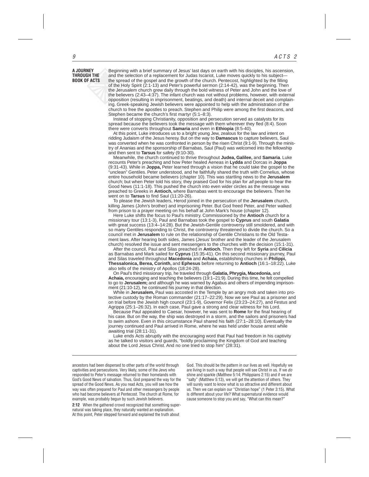#### **A JOURNEY THROUGH THE BOOK OF ACTS**

Beginning with a brief summary of Jesus' last days on earth with his disciples, his ascension, and the selection of a replacement for Judas Iscariot, Luke moves quickly to his subject the spread of the gospel and the growth of the church. Pentecost, highlighted by the filling of the Holy Spirit (2:1-13) and Peter's powerful sermon (2:14-42), was the beginning. Then the Jerusalem church grew daily through the bold witness of Peter and John and the love of the believers (2:43–4:37). The infant church was not without problems, however, with external opposition (resulting in imprisonment, beatings, and death) and internal deceit and complaining. Greek-speaking Jewish believers were appointed to help with the administration of the church to free the apostles to preach. Stephen and Philip were among the first deacons, and Stephen became the church's first martyr (5:1–8:3).

Instead of stopping Christianity, opposition and persecution served as catalysts for its spread because the believers took the message with them wherever they fled (8:4). Soon there were converts throughout **Samaria** and even in **Ethiopia** (8:5-40).

At this point, Luke introduces us to a bright young Jew, zealous for the law and intent on ridding Judaism of the Jesus heresy. But on the way to **Damascus** to capture believers, Saul was converted when he was confronted in person by the risen Christ (9:1-9). Through the ministry of Ananias and the sponsorship of Barnabas, Saul (Paul) was welcomed into the fellowship and then sent to **Tarsus** for safety (9:10-30).

Meanwhile, the church continued to thrive throughout **Judea, Galilee,** and **Samaria**. Luke recounts Peter's preaching and how Peter healed Aeneas in **Lydda** and Dorcas in **Joppa** (9:31-43). While in **Joppa,** Peter learned through a vision that he could take the gospel to the "unclean" Gentiles. Peter understood, and he faithfully shared the truth with Cornelius, whose entire household became believers (chapter 10). This was startling news to the **Jerusalem** church; but when Peter told his story, they praised God for his plan for all people to hear the Good News (11:1-18). This pushed the church into even wider circles as the message was preached to Greeks in **Antioch,** where Barnabas went to encourage the believers. Then he went on to **Tarsus** to find Saul (11:20-26).

To please the Jewish leaders, Herod joined in the persecution of the **Jerusalem** church, killing James (John's brother) and imprisoning Peter. But God freed Peter, and Peter walked from prison to a prayer meeting on his behalf at John Mark's house (chapter 12).

Here Luke shifts the focus to Paul's ministry. Commissioned by the **Antioch** church for a missionary tour (13:1-3), Paul and Barnabas took the gospel to **Cyprus** and south **Galatia** with great success (13:4–14:28). But the Jewish-Gentile controversy still smoldered, and with so many Gentiles responding to Christ, the controversy threatened to divide the church. So a council met in **Jerusalem** to rule on the relationship of Gentile Christians to the Old Testament laws. After hearing both sides, James (Jesus' brother and the leader of the Jerusalem church) resolved the issue and sent messengers to the churches with the decision (15:1-31).

After the council, Paul and Silas preached in **Antioch.** Then they left for **Syria** and **Cilicia** as Barnabas and Mark sailed for **Cyprus** (15:35-41). On this second missionary journey, Paul and Silas traveled throughout **Macedonia** and **Achaia,** establishing churches in **Philippi, Thessalonica, Berea, Corinth,** and **Ephesus** before returning to **Antioch** (16:1–18:22). Luke also tells of the ministry of Apollos (18:24-28).

On Paul's third missionary trip, he traveled through **Galatia, Phrygia, Macedonia,** and **Achaia,** encouraging and teaching the believers (19:1–21:9). During this time, he felt compelled to go to **Jerusalem;** and although he was warned by Agabus and others of impending imprisonment (21:10-12), he continued his journey in that direction.

While in **Jerusalem,** Paul was accosted in the Temple by an angry mob and taken into protective custody by the Roman commander (21:17–22:29). Now we see Paul as a prisoner and on trial before the Jewish high council (23:1-9), Governor Felix (23:23–24:27), and Festus and Agrippa (25:1–26:32). In each case, Paul gave a strong and clear witness for his Lord.

Because Paul appealed to Caesar, however, he was sent to **Rome** for the final hearing of his case. But on the way, the ship was destroyed in a storm, and the sailors and prisoners had to swim ashore. Even in this circumstance Paul shared his faith (27:1–28:10). Eventually the journey continued and Paul arrived in Rome, where he was held under house arrest while awaiting trial (28:11-31).

Luke ends Acts abruptly with the encouraging word that Paul had freedom in his captivity as he talked to visitors and guards, "boldly proclaiming the Kingdom of God and teaching about the Lord Jesus Christ. And no one tried to stop him" (28:31).

ancestors had been dispersed to other parts of the world through captivities and persecutions. Very likely, some of the Jews who responded to Peter's message returned to their homelands with God's Good News of salvation. Thus, God prepared the way for the spread of the Good News. As you read Acts, you will see how the way was often prepared for Paul and other messengers by people who had become believers at Pentecost. The church at Rome, for example, was probably begun by such Jewish believers.

**2:12** When the gathered crowd recognized that something supernatural was taking place, they naturally wanted an explanation. At this point, Peter stepped forward and explained the truth about

God. This should be the pattern in our lives as well. Hopefully we are living in such a way that people will see Christ in us. If we do shine and sparkle (Matthew 5:14; Philippians 2:15) and if we are "salty" (Matthew 5:13), we will get the attention of others. They will surely want to know what is so attractive and different about us. Then we can explain our "Christian hope" (1 Peter 3:15). What is different about your life? What supernatural evidence would cause someone to stop you and say, "What can this mean?"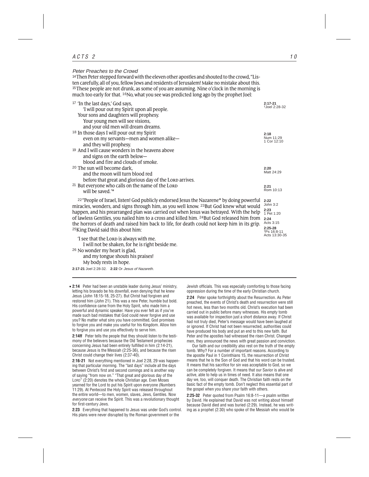#### Peter Preaches to the Crowd

14Then Peter stepped forward with the eleven other apostles and shouted to the crowd, "Listen carefully, all of you, fellow Jews and residents of Jerusalem! Make no mistake about this. <sup>15</sup>These people are not drunk, as some of you are assuming. Nine o'clock in the morning is much too early for that. <sup>16</sup>No, what you see was predicted long ago by the prophet Joel:

| <sup>17</sup> 'In the last days,' God says,                                                              | $2:17-21$                |
|----------------------------------------------------------------------------------------------------------|--------------------------|
| I will pour out my Spirit upon all people.                                                               | <b>Joel 2:28-32</b>      |
| Your sons and daughters will prophesy.                                                                   |                          |
| Your young men will see visions,                                                                         |                          |
| and your old men will dream dreams.                                                                      |                          |
| <sup>18</sup> In those days I will pour out my Spirit                                                    | 2:18                     |
| even on my servants—men and women alike—                                                                 | Num 11:29<br>1 Cor 12:10 |
| and they will prophesy.                                                                                  |                          |
| <sup>19</sup> And I will cause wonders in the heavens above                                              |                          |
| and signs on the earth below-                                                                            |                          |
| blood and fire and clouds of smoke.                                                                      |                          |
| <sup>20</sup> The sun will become dark,                                                                  | 2:20                     |
| and the moon will turn blood red                                                                         | Matt 24:29               |
| before that great and glorious day of the Lorp arrives.                                                  |                          |
| <sup>21</sup> But everyone who calls on the name of the LORD                                             | 2:21                     |
| will be saved.'*                                                                                         | Rom 10:13                |
| <sup>22</sup> People of Israel, listen! God publicly endorsed Jesus the Nazarene* by doing powerful 2:22 |                          |

<sup>22</sup>"People of Israel, listen! God publicly endorsed Jesus the Nazarene\* by doing powerful miracles, wonders, and signs through him, as you well know. <sup>23</sup>But God knew what would **2:22** John 3:2 happen, and his prearranged plan was carried out when Jesus was betrayed. With the help of lawless Gentiles, you nailed him to a cross and killed him. <sup>24</sup>But God released him from the horrors of death and raised him back to life, for death could not keep him in its grip. <sup>25</sup>King David said this about him: **2:23** 1 Pet 1:20 **2:24** Acts 3:15 **2:25-28** †Ps 16:8-11

'I see that the Lorp is always with me. I will not be shaken, for he is right beside me. <sup>26</sup> No wonder my heart is glad, and my tongue shouts his praises! My body rests in hope.

**2:17-21** Joel 2:28-32. **2:22** Or Jesus of Nazareth.

• **2:14** Peter had been an unstable leader during Jesus' ministry, letting his bravado be his downfall, even denying that he knew Jesus (John 18:15-18, 25-27). But Christ had forgiven and restored him (John 21). This was a new Peter, humble but bold. His confidence came from the Holy Spirit, who made him a powerful and dynamic speaker. Have you ever felt as if you've made such bad mistakes that God could never forgive and use you? No matter what sins you have committed, God promises to forgive you and make you useful for his Kingdom. Allow him to forgive you and use you effectively to serve him.

**2:14ff** Peter tells the people that they should listen to the testimony of the believers because the Old Testament prophecies concerning Jesus had been entirely fulfilled in him (2:14-21), because Jesus is the Messiah (2:25-36), and because the risen Christ could change their lives (2:37-40).

**2:16-21** Not everything mentioned in Joel 2:28, 29 was happening that particular morning. The "last days" include all the days between Christ's first and second comings and is another way of saying "from now on." "That great and glorious day of the LORD" (2:20) denotes the whole Christian age. Even Moses yearned for the Lord to put his Spirit upon everyone (Numbers 11:29). At Pentecost the Holy Spirit was released throughout the entire world—to men, women, slaves, Jews, Gentiles. Now everyone can receive the Spirit. This was a revolutionary thought for first-century Jews.

**2:23** Everything that happened to Jesus was under God's control. His plans were never disrupted by the Roman government or the

Jewish officials. This was especially comforting to those facing oppression during the time of the early Christian church.

Acts 13:30-35

**2:24** Peter spoke forthrightly about the Resurrection. As Peter preached, the events of Christ's death and resurrection were still hot news, less than two months old. Christ's execution had been carried out in public before many witnesses. His empty tomb was available for inspection just a short distance away. If Christ had not truly died, Peter's message would have been laughed at or ignored. If Christ had not been resurrected, authorities could have produced his body and put an end to this new faith. But Peter and the apostles had witnessed the risen Christ. Changed men, they announced the news with great passion and conviction.

Our faith and our credibility also rest on the truth of the empty tomb. Why? For a number of important reasons. According to the apostle Paul in 1 Corinthians 15, the resurrection of Christ means that he is the Son of God and that his word can be trusted. It means that his sacrifice for sin was acceptable to God, so we can be completely forgiven. It means that our Savior is alive and active, able to help us in times of need. It also means that one day we, too, will conquer death. The Christian faith rests on the basic fact of the empty tomb. Don't neglect this essential part of the gospel when you share your faith with others.

**2:25-32** Peter quoted from Psalm 16:8-11—a psalm written by David. He explained that David was not writing about himself because David died and was buried (2:29). Instead, he was writing as a prophet (2:30) who spoke of the Messiah who would be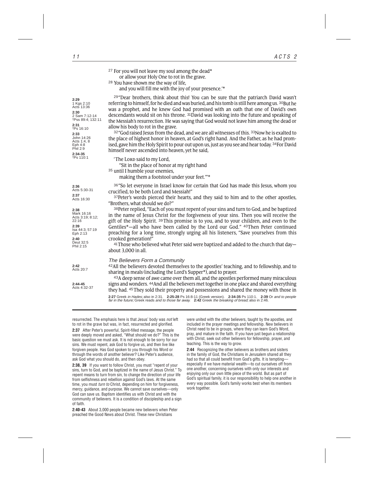<sup>27</sup> For you will not leave my soul among the dead\*

or allow your Holy One to rot in the grave.

<sup>28</sup> You have shown me the way of life,

and you will fill me with the joy of your presence.'\*

<sup>29</sup>"Dear brothers, think about this! You can be sure that the patriarch David wasn't referring to himself, for he died and was buried, and his tomb is still here among us. <sup>30</sup>But he was a prophet, and he knew God had promised with an oath that one of David's own descendants would sit on his throne. <sup>31</sup>David was looking into the future and speaking of the Messiah's resurrection. He was saying that God would not leave him among the dead or allow his body to rot in the grave.

<sup>32</sup>"God raised Jesus from the dead, and we are all witnesses of this. <sup>33</sup>Now he is exalted to the place of highest honor in heaven, at God's right hand. And the Father, as he had promised, gave him the Holy Spirit to pour out upon us, just as you see and hear today. <sup>34</sup>For David himself never ascended into heaven, yet he said,

'The Lorp said to my Lord, "Sit in the place of honor at my right hand

<sup>35</sup> until I humble your enemies,

making them a footstool under your feet."'\*

<sup>36</sup>"So let everyone in Israel know for certain that God has made this Jesus, whom you crucified, to be both Lord and Messiah!"

<sup>37</sup>Peter's words pierced their hearts, and they said to him and to the other apostles, "Brothers, what should we do?"

<sup>38</sup>Peter replied, "Each of you must repent of your sins and turn to God, and be baptized in the name of Jesus Christ for the forgiveness of your sins. Then you will receive the gift of the Holy Spirit. <sup>39</sup>This promise is to you, and to your children, and even to the Gentiles\*—all who have been called by the Lord our God." <sup>40</sup>Then Peter continued preaching for a long time, strongly urging all his listeners, "Save yourselves from this crooked generation!"

<sup>41</sup>Those who believed what Peter said were baptized and added to the church that day about 3,000 in all.

The Believers Form a Community

<sup>42</sup>All the believers devoted themselves to the apostles' teaching, and to fellowship, and to sharing in meals (including the Lord's Supper\*), and to prayer.

<sup>43</sup>A deep sense of awe came over them all, and the apostles performed many miraculous signs and wonders. <sup>44</sup>And all the believers met together in one place and shared everything they had. <sup>45</sup>They sold their property and possessions and shared the money with those in

2:27 Greek *in Hades;* also in 2:31. 2:25-28 Ps 16:8-11 (Greek version). 2:34-35 Ps 110:1. 2:39 Or *and to people*<br>*far in the future;* Greek reads *and to those far away.* 2:42 Greek *the breaking of bread;* also in 2:46.

resurrected. The emphasis here is that Jesus' body was not left to rot in the grave but was, in fact, resurrected and glorified.

**2:37** After Peter's powerful, Spirit-filled message, the people were deeply moved and asked, "What should we do?" This is the basic question we must ask. It is not enough to be sorry for our sins. We must repent, ask God to forgive us, and then live like forgiven people. Has God spoken to you through his Word or through the words of another believer? Like Peter's audience, ask God what you should do, and then obey.

**2:38, 39** If you want to follow Christ, you must "repent of your sins, turn to God, and be baptized in the name of Jesus Christ." To repent means to turn from sin, to change the direction of your life from selfishness and rebellion against God's laws. At the same time, you must turn to Christ, depending on him for forgiveness, mercy, guidance, and purpose. We cannot save ourselves—only God can save us. Baptism identifies us with Christ and with the community of believers. It is a condition of discipleship and a sign of faith.

**2:40-43** About 3,000 people became new believers when Peter preached the Good News about Christ. These new Christians

were united with the other believers, taught by the apostles, and included in the prayer meetings and fellowship. New believers in Christ need to be in groups, where they can learn God's Word, pray, and mature in the faith. If you have just begun a relationship with Christ, seek out other believers for fellowship, prayer, and teaching. This is the way to grow.

**2:44** Recognizing the other believers as brothers and sisters in the family of God, the Christians in Jerusalem shared all they had so that all could benefit from God's gifts. It is tempting especially if we have material wealth—to cut ourselves off from one another, concerning ourselves with only our interests and enjoying only our own little piece of the world. But as part of God's spiritual family, it is our responsibility to help one another in every way possible. God's family works best when its members work together.

**2:29** 1 Kgs 2:10 Acts 13:36 **2:30** 2 Sam 7:12-14 †Pss 89:4; 132:11 **2:31** †Ps 16:10 **2:33** John 14:26 Acts 1:4, 8 Eph 4:8 Phil 2:9 **2:34-35** †Ps 110:1

**2:36** Acts 5:30-31

**2:37** Acts 16:30

Acts 3:19; 8:12; 22:16 **2:39**

Isa 44:3; 57:19 Eph 2:13

**2:40** Deut 32:5 Phil 2:15

**2:42** Acts 20:7

**2:44-45** Acts 4:32-37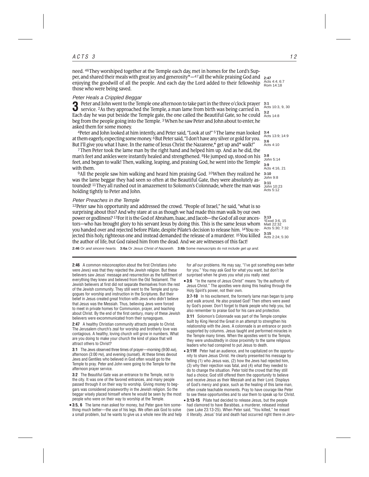need. <sup>46</sup>They worshiped together at the Temple each day, met in homes for the Lord's Supper, and shared their meals with great joy and generosity\*—<sup>47</sup>all the while praising God and **2:47** enjoying the goodwill of all the people. And each day the Lord added to their fellowship those who were being saved. Acts 4:4; 6:7 Rom 14:18

#### Peter Heals a Crippled Beggar

**3** Peter and John went to the Temple one afternoon to take part in the three o'clock prayer service. <sup>2</sup>As they approached the Temple, a man lame from birth was being carried in. Each day he was put beside the Temple gate, the one called the Beautiful Gate, so he could Acts 14:8 beg from the people going into the Temple. <sup>3</sup>When he saw Peter and John about to enter, he asked them for some money. **3:1**

<sup>4</sup>Peter and John looked at him intently, and Peter said, "Look at us!" <sup>5</sup>The lame man looked at them eagerly, expecting some money. <sup>6</sup> But Peter said, "I don't have any silver or gold for you. But I'll give you what I have. In the name of Jesus Christ the Nazarene,\* get up and\* walk!"

<sup>7</sup>Then Peter took the lame man by the right hand and helped him up. And as he did, the man's feet and ankles were instantly healed and strengthened. <sup>8</sup>He jumped up, stood on his feet, and began to walk! Then, walking, leaping, and praising God, he went into the Temple with them.

<sup>9</sup>All the people saw him walking and heard him praising God. <sup>10</sup>When they realized he was the lame beggar they had seen so often at the Beautiful Gate, they were absolutely astounded! <sup>11</sup>They all rushed out in amazement to Solomon's Colonnade, where the man was holding tightly to Peter and John.

#### Peter Preaches in the Temple

<sup>12</sup>Peter saw his opportunity and addressed the crowd. "People of Israel," he said, "what is so surprising about this? And why stare at us as though we had made this man walk by our own power or godliness? <sup>13</sup>For it is the God of Abraham, Isaac, and Jacob—the God of all our ancestors—who has brought glory to his servant Jesus by doing this. This is the same Jesus whom you handed over and rejected before Pilate, despite Pilate's decision to release him. <sup>14</sup>You rejected this holy, righteous one and instead demanded the release of a murderer. <sup>15</sup>You killed **3:15** Acts 2:24; 5:30 the author of life, but God raised him from the dead. And we are witnesses of this fact!

Acts 10:3, 9, 30 **3:2 3:4** Acts 13:9; 14:9 **3:6** Acts 4:10 **3:8** John 5:14 **3:9** Acts 4:16, 21 **3:10** John 9:8 **3:11** John 10:23 Acts 5:12

**3:13** †Exod 3:6, 15 Matt 22:32 Acts 5:30; 7:32

**2:46** Or and sincere hearts. **3:6a** Or Jesus Christ of Nazareth. **3:6b** Some manuscripts do not include get up and.

**2:46** A common misconception about the first Christians (who were Jews) was that they rejected the Jewish religion. But these believers saw Jesus' message and resurrection as the fulfillment of everything they knew and believed from the Old Testament. The Jewish believers at first did not separate themselves from the rest of the Jewish community. They still went to the Temple and synagogues for worship and instruction in the Scriptures. But their belief in Jesus created great friction with Jews who didn't believe that Jesus was the Messiah. Thus, believing Jews were forced to meet in private homes for Communion, prayer, and teaching about Christ. By the end of the first century, many of these Jewish believers were excommunicated from their synagogues.

**2:47** A healthy Christian community attracts people to Christ. The Jerusalem church's zeal for worship and brotherly love was contagious. A healthy, loving church will grow in numbers. What are you doing to make your church the kind of place that will attract others to Christ?

**3:1** The Jews observed three times of prayer—morning (9:00 AM), afternoon (3:00 PM), and evening (sunset). At these times devout Jews and Gentiles who believed in God often would go to the Temple to pray. Peter and John were going to the Temple for the afternoon prayer service.

**3:2** The Beautiful Gate was an entrance to the Temple, not to the city. It was one of the favored entrances, and many people passed through it on their way to worship. Giving money to beggars was considered praiseworthy in the Jewish religion. So the beggar wisely placed himself where he would be seen by the most people who were on their way to worship at the Temple.

• **3:5, 6** The lame man asked for money, but Peter gave him something much better—the use of his legs. We often ask God to solve a small problem, but he wants to give us a whole new life and help for all our problems. He may say, "I've got something even better for you." You may ask God for what you want, but don't be surprised when he gives you what you really need.

• **3:6** "In the name of Jesus Christ" means "by the authority of Jesus Christ." The apostles were doing this healing through the Holy Spirit's power, not their own.

**3:7-10** In his excitement, the formerly lame man began to jump and walk around. He also praised God! Then others were awed by God's power. Don't forget to thank people who help you, but also remember to praise God for his care and protection.

**3:11** Solomon's Colonnade was part of the Temple complex built by King Herod the Great in an attempt to strengthen his relationship with the Jews. A colonnade is an entrance or porch supported by columns. Jesus taught and performed miracles in the Temple many times. When the apostles went to the Temple, they were undoubtedly in close proximity to the same religious leaders who had conspired to put Jesus to death.

- **3:11ff** Peter had an audience, and he capitalized on the opportunity to share Jesus Christ. He clearly presented his message by telling (1) who Jesus was, (2) how the Jews had rejected him, (3) why their rejection was fatal, and (4) what they needed to do to change the situation. Peter told the crowd that they still had a choice; God still offered them the opportunity to believe and receive Jesus as their Messiah and as their Lord. Displays of God's mercy and grace, such as the healing of this lame man, often create teachable moments. Pray to have courage like Peter to see these opportunities and to use them to speak up for Christ.
- **3:13-15** Pilate had decided to release Jesus, but the people had clamored to have Barabbas, a murderer, released instead (see Luke 23:13-25). When Peter said, "You killed," he meant it literally. Jesus' trial and death had occurred right there in Jeru-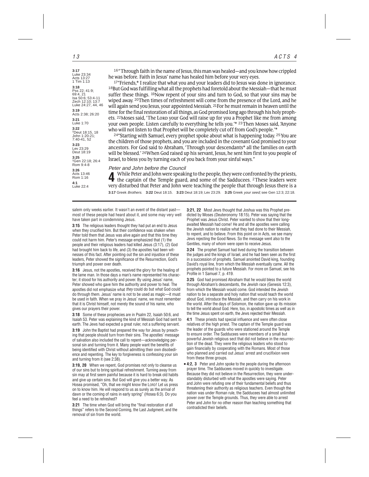**3:17** Luke 23:34 Acts 13:27 1 Tim 1:13 **3:18** Pss 22; 41:9; 69:4, 21 Isa 50:6; 53:4-11 Zech 12:10; 13:7 Luke 24:27, 44, 46 **3:19** Acts 2:38; 26:20 **3:21** Luke 1:70 **3:22** †Deut 18:15, 18 John 1:20-21; 7:40-41, 52 **3:23** Lev 23:29 Deut 18:19 **3:25** †Gen 22:18; 26:4 Rom 9:4-8 **3:26** Acts 13:46 Rom 1:16 **4:1** Luke 22:4

<sup>16</sup>"Through faith in the name of Jesus, this man was healed—and you know how crippled he was before. Faith in Jesus' name has healed him before your very eyes.

<sup>17</sup>"Friends,\* I realize that what you and your leaders did to Jesus was done in ignorance. <sup>18</sup>But God was fulfilling what all the prophets had foretold about the Messiah—that he must suffer these things. <sup>19</sup>Now repent of your sins and turn to God, so that your sins may be wiped away. <sup>20</sup>Then times of refreshment will come from the presence of the Lord, and he will again send you Jesus, your appointed Messiah. <sup>21</sup>For he must remain in heaven until the time for the final restoration of all things, as God promised long ago through his holy prophets. <sup>22</sup>Moses said, 'The Lord your God will raise up for you a Prophet like me from among your own people. Listen carefully to everything he tells you.'\* <sup>23</sup>Then Moses said, 'Anyone who will not listen to that Prophet will be completely cut off from God's people.'\*

<sup>24</sup>"Starting with Samuel, every prophet spoke about what is happening today. <sup>25</sup>You are the children of those prophets, and you are included in the covenant God promised to your ancestors. For God said to Abraham, 'Through your descendants\* all the families on earth will be blessed.' <sup>26</sup>When God raised up his servant, Jesus, he sent him first to you people of Israel, to bless you by turning each of you back from your sinful ways."

#### Peter and John before the Council

**4** While Peter and John were speaking to the people, they were confronted by the priests, the captain of the Temple guard, and some of the Sadducees. <sup>2</sup>These leaders were very disturbed that Peter and John were teaching the people that through Jesus there is a **3:17** Greek Brothers. **3:22** Deut 18:15. **3:23** Deut 18:19; Lev 23:29. **3:25** Greek your seed; see Gen 12:3; 22:18.

salem only weeks earlier. It wasn't an event of the distant pastmost of these people had heard about it, and some may very well have taken part in condemning Jesus.

**3:15** The religious leaders thought they had put an end to Jesus when they crucified him. But their confidence was shaken when Peter told them that Jesus was alive again and that this time they could not harm him. Peter's message emphasized that (1) the people and their religious leaders had killed Jesus (3:17), (2) God had brought him back to life, and (3) the apostles had been witnesses of this fact. After pointing out the sin and injustice of these leaders, Peter showed the significance of the Resurrection, God's triumph and power over death.

**3:16** Jesus, not the apostles, received the glory for the healing of the lame man. In those days a man's name represented his character; it stood for his authority and power. By using Jesus' name, Peter showed who gave him the authority and power to heal. The apostles did not emphasize what they could do but what God could do through them. Jesus' name is not to be used as magic—it must be used in faith. When we pray in Jesus' name, we must remember that it is Christ himself, not merely the sound of his name, who gives our prayers their power.

**3:18** Some of these prophecies are in Psalm 22, Isaiah 50:6, and Isaiah 53. Peter was explaining the kind of Messiah God had sent to earth. The Jews had expected a great ruler, not a suffering servant.

**3:19** John the Baptist had prepared the way for Jesus by preaching that people should turn from their sins. The apostles' message of salvation also included the call to repent—acknowledging personal sin and turning from it. Many people want the benefits of being identified with Christ without admitting their own disobedience and repenting. The key to forgiveness is confessing your sin and turning from it (see 2:38).

**3:19, 20** When we repent, God promises not only to cleanse us of our sins but to bring spiritual refreshment. Turning away from sin may at first seem painful because it is hard to break old habits and give up certain sins. But God will give you a better way. As Hosea promised, "Oh, that we might know the LORD! Let us press on to know him. He will respond to us as surely as the arrival of dawn or the coming of rains in early spring" (Hosea 6:3). Do you feel a need to be refreshed?

**3:21** The time when God will bring the "final restoration of all things" refers to the Second Coming, the Last Judgment, and the removal of sin from the world.

**3:21, 22** Most Jews thought that Joshua was this Prophet predicted by Moses (Deuteronomy 18:15). Peter was saying that the Prophet was Jesus Christ. Peter wanted to show that their longawaited Messiah had come! He and all the apostles were calling the Jewish nation to realize what they had done to their Messiah, to repent, and to believe. From this point on in Acts, we see many Jews rejecting the Good News. So the message went also to the Gentiles, many of whom were open to receive Jesus.

**3:24** The prophet Samuel had lived during the transition between the judges and the kings of Israel, and he had been seen as the first in a succession of prophets. Samuel anointed David king, founding David's royal line, from which the Messiah eventually came. All the prophets pointed to a future Messiah. For more on Samuel, see his Profile in 1 Samuel 7, p. 419.

**3:25** God had promised Abraham that he would bless the world through Abraham's descendants, the Jewish race (Genesis 12:3), from which the Messiah would come. God intended the Jewish nation to be a separate and holy nation that would teach the world about God, introduce the Messiah, and then carry on his work in the world. After the days of Solomon, the nation gave up its mission to tell the world about God. Here, too, in apostolic times as well as in the time Jesus spent on earth, the Jews rejected their Messiah.

**4:1** These priests had special influence and were often close relatives of the high priest. The captain of the Temple guard was the leader of the guards who were stationed around the Temple to ensure order. The Sadducees were members of a small but powerful Jewish religious sect that did not believe in the resurrection of the dead. They were the religious leaders who stood to gain financially by cooperating with the Romans. Most of those who planned and carried out Jesus' arrest and crucifixion were from these three groups.

• **4:2, 3** Peter and John spoke to the people during the afternoon prayer time. The Sadducees moved in quickly to investigate. Because they did not believe in the Resurrection, they were understandably disturbed with what the apostles were saying. Peter and John were refuting one of their fundamental beliefs and thus threatening their authority as religious teachers. Even though the nation was under Roman rule, the Sadducees had almost unlimited power over the Temple grounds. Thus, they were able to arrest Peter and John for no other reason than teaching something that contradicted their beliefs.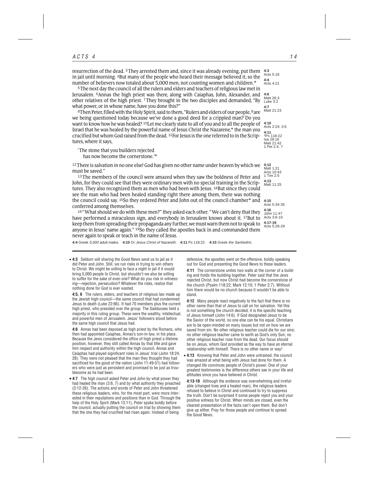resurrection of the dead. <sup>3</sup>They arrested them and, since it was already evening, put them **4:3** in jail until morning. <sup>4</sup>But many of the people who heard their message believed it, so the number of believers now totaled about 5,000 men, not counting women and children.\* Acts 5:18 **4:4**

<sup>5</sup>The next day the council of all the rulers and elders and teachers of religious law met in Jerusalem. <sup>6</sup>Annas the high priest was there, along with Caiaphas, John, Alexander, and other relatives of the high priest. <sup>7</sup>They brought in the two disciples and demanded, "By what power, or in whose name, have you done this?"

8Then Peter, filled with the Holy Spirit, said to them, "Rulers and elders of our people, 9 are we being questioned today because we've done a good deed for a crippled man? Do you want to know how he was healed? <sup>10</sup>Let me clearly state to all of you and to all the people of Israel that he was healed by the powerful name of Jesus Christ the Nazarene,\* the man you crucified but whom God raised from the dead. <sup>11</sup>For Jesus is the one referred to in the Scriptures, where it says,

'The stone that you builders rejected

has now become the cornerstone.'\*

<sup>12</sup>There is salvation in no one else! God has given no other name under heaven by which we must be saved."

<sup>13</sup>The members of the council were amazed when they saw the boldness of Peter and John, for they could see that they were ordinary men with no special training in the Scriptures. They also recognized them as men who had been with Jesus. <sup>14</sup>But since they could see the man who had been healed standing right there among them, there was nothing the council could say. <sup>15</sup>So they ordered Peter and John out of the council chamber\* and conferred among themselves.

<sup>16</sup>"What should we do with these men?" they asked each other. "We can't deny that they have performed a miraculous sign, and everybody in Jerusalem knows about it. <sup>17</sup>But to keep them from spreading their propaganda any further, we must warn them not to speak to anyone in Jesus' name again." <sup>18</sup>So they called the apostles back in and commanded them never again to speak or teach in the name of Jesus.

**4:4** Greek 5,000 adult males. **4:10** Or Jesus Christ of Nazareth. **4:11** Ps 118:22. **4:15** Greek the Sanhedrin.

• **4:3** Seldom will sharing the Good News send us to jail as it did Peter and John. Still, we run risks in trying to win others to Christ. We might be willing to face a night in jail if it would bring 5,000 people to Christ, but shouldn't we also be willing to suffer for the sake of even one? What do you risk in witnessing—rejection, persecution? Whatever the risks, realize that nothing done for God is ever wasted.

**4:5, 6** The rulers, elders, and teachers of religious law made up the Jewish high council—the same council that had condemned Jesus to death (Luke 22:66). It had 70 members plus the current high priest, who presided over the group. The Sadducees held a majority in this ruling group. These were the wealthy, intellectual, and powerful men of Jerusalem. Jesus' followers stood before the same high council that Jesus had.

**4:6** Annas had been deposed as high priest by the Romans, who then had appointed Caiaphas, Annas's son-in-law, in his place. Because the Jews considered the office of high priest a lifetime position, however, they still called Annas by that title and gave him respect and authority within the high council. Annas and Caiaphas had played significant roles in Jesus' trial (John 18:24, 28). They were not pleased that the man they thought they had sacrificed for the good of the nation (John 11:49-51) had followers who were just as persistent and promised to be just as troublesome as he had been.

• **4:7** The high council asked Peter and John by what power they had healed the man (3:6, 7) and by what authority they preached (3:12-26). The actions and words of Peter and John threatened these religious leaders, who, for the most part, were more interested in their reputations and positions than in God. Through the help of the Holy Spirit (Mark 13:11), Peter spoke boldly before the council, actually putting the council on trial by showing them that the one they had crucified had risen again. Instead of being

defensive, the apostles went on the offensive, boldly speaking out for God and presenting the Good News to these leaders.

**4:11** The cornerstone unites two walls at the corner of a building and holds the building together. Peter said that the Jews rejected Christ, but now Christ had become the cornerstone of the church (Psalm 118:22; Mark 12:10; 1 Peter 2:7). Without him there would be no church because it wouldn't be able to stand.

**4:12** Many people react negatively to the fact that there is no other name than that of Jesus to call on for salvation. Yet this is not something the church decided; it is the specific teaching of Jesus himself (John 14:6). If God designated Jesus to be the Savior of the world, no one else can be his equal. Christians are to be open-minded on many issues but not on how we are saved from sin. No other religious teacher could die for our sins; no other religious teacher came to earth as God's only Son; no other religious teacher rose from the dead. Our focus should be on Jesus, whom God provided as the way to have an eternal relationship with himself. There is no other name or way!

• **4:13** Knowing that Peter and John were untrained, the council was amazed at what being with Jesus had done for them. A changed life convinces people of Christ's power. One of your greatest testimonies is the difference others see in your life and attitudes since you have believed in Christ.

**4:13-18** Although the evidence was overwhelming and irrefutable (changed lives and a healed man), the religious leaders refused to believe in Christ and continued to try to suppress the truth. Don't be surprised if some people reject you and your positive witness for Christ. When minds are closed, even the clearest presentation of the facts can't open them. But don't give up either. Pray for those people and continue to spread the Good News.

Acts 4:21 **4:6** Matt 26:3 Luke 3:2 **4:7** Matt 21:23 **4:10** Acts 2:24; 3:6 **4:11** †Ps 118:22 Isa 28:16 Matt 21:42 1 Pet 2:4, 7 **4:12** Matt 1:21 Acts 10:43 1 Tim 2:5 **4:13** Matt 11:25 **4:15** Acts 5:34-35 **4:16**

John 11:47 Acts 3:6-10 **4:17-19** Acts 5:28-29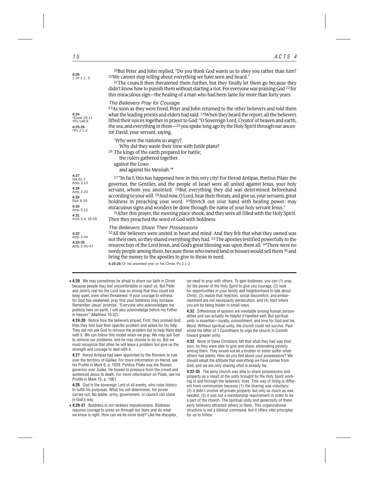| 4:20<br>1 Jn 1:1, 3                                                                                                    | <sup>19</sup> But Peter and John replied, "Do you think God wants us to obey you rather than him?<br><sup>20</sup> We cannot stop telling about everything we have seen and heard."<br><sup>21</sup> The council then threatened them further, but they finally let them go because they<br>didn't know how to punish them without starting a riot. For everyone was praising God <sup>22</sup> for<br>this miraculous sign-the healing of a man who had been lame for more than forty years.                                                                                                                                                                                                                                           |
|------------------------------------------------------------------------------------------------------------------------|-----------------------------------------------------------------------------------------------------------------------------------------------------------------------------------------------------------------------------------------------------------------------------------------------------------------------------------------------------------------------------------------------------------------------------------------------------------------------------------------------------------------------------------------------------------------------------------------------------------------------------------------------------------------------------------------------------------------------------------------|
| 4:24<br>†Exod 20:11<br><sup>†</sup> Ps 146:6<br>$4:25-26$<br><b>TPs 2:1-2</b>                                          | The Believers Pray for Courage<br><sup>23</sup> As soon as they were freed, Peter and John returned to the other believers and told them<br>what the leading priests and elders had said. <sup>24</sup> When they heard the report, all the believers<br>lifted their voices together in prayer to God: "O Sovereign Lord, Creator of heaven and earth,<br>the sea, and everything in them $-25$ you spoke long ago by the Holy Spirit through our ances-<br>tor David, your servant, saying,                                                                                                                                                                                                                                           |
|                                                                                                                        | 'Why were the nations so angry?<br>Why did they waste their time with futile plans?<br><sup>26</sup> The kings of the earth prepared for battle;<br>the rulers gathered together<br>against the Lorp<br>and against his Messiah."*                                                                                                                                                                                                                                                                                                                                                                                                                                                                                                      |
| 4:27<br>Isa 61:1<br>Acts 3:13<br>4:28<br>Acts 2:23<br>4:29<br>Eph 6:19<br>4:30<br>Acts 5:12<br>4:31<br>Acts 2:4; 16:26 | 27"In fact, this has happened here in this very city! For Herod Antipas, Pontius Pilate the<br>governor, the Gentiles, and the people of Israel were all united against Jesus, your holy<br>servant, whom you anointed. <sup>28</sup> But everything they did was determined beforehand<br>according to your will. <sup>29</sup> And now, O Lord, hear their threats, and give us, your servants, great<br>boldness in preaching your word. 30Stretch out your hand with healing power; may<br>miraculous signs and wonders be done through the name of your holy servant Jesus."<br>31 After this prayer, the meeting place shook, and they were all filled with the Holy Spirit.<br>Then they preached the word of God with boldness. |
| 4:32<br>Acts 2:44<br>4:33-35<br>Acts 2:45-47                                                                           | The Believers Share Their Possessions<br>32All the believers were united in heart and mind. And they felt that what they owned was<br>not their own, so they shared everything they had. 33 The apostles testified powerfully to the<br>resurrection of the Lord Jesus, and God's great blessing was upon them all. <sup>34</sup> There were no<br>needy people among them, because those who owned land or houses would sell them 35 and<br>bring the money to the apostles to give to those in need.                                                                                                                                                                                                                                  |
|                                                                                                                        |                                                                                                                                                                                                                                                                                                                                                                                                                                                                                                                                                                                                                                                                                                                                         |

**4:25-26** Or his anointed one; or his Christ. Ps 2:1-2.

• **4:20** We may sometimes be afraid to share our faith in Christ because people may feel uncomfortable or reject us. But Peter and John's zeal for the Lord was so strong that they could not keep quiet, even when threatened. If your courage to witness for God has weakened, pray that your boldness may increase. Remember Jesus' promise, "Everyone who acknowledges me publicly here on earth, I will also acknowledge before my Father in heaven" (Matthew 10:32).

**4:24-30** Notice how the believers prayed. First, they praised God; then they told God their specific problem and asked for his help. They did not ask God to remove the problem but to help them deal with it. We can follow this model when we pray. We may ask God to remove our problems, and he may choose to do so. But we must recognize that often he will leave a problem but give us the strength and courage to deal with it.

**4:27** Herod Antipas had been appointed by the Romans to rule over the territory of Galilee. For more information on Herod, see his Profile in Mark 6, p. 1629. Pontius Pilate was the Roman governor over Judea. He bowed to pressure from the crowd and sentenced Jesus to death. For more information on Pilate, see his Profile in Mark 15, p. 1661.

**4:28** God is the sovereign Lord of all events, who rules history to fulfill his purposes. What his will determines, his power carries out. No leader, army, government, or council can stand in God's way.

• **4:29-31** Boldness is not reckless impulsiveness. Boldness requires courage to press on through our fears and do what we know is right. How can we be more bold? Like the disciples,

we need to pray with others. To gain boldness, you can (1) pray for the power of the Holy Spirit to give you courage, (2) look for opportunities in your family and neighborhood to talk about Christ, (3) realize that rejection, social discomfort, and embarrassment are not necessarily persecution, and (4) start where you are by being bolder in small ways.

**4:32** Differences of opinion are inevitable among human personalities and can actually be helpful if handled well. But spiritual unity is essential—loyalty, commitment, and love for God and his Word. Without spiritual unity, the church could not survive. Paul wrote the letter of 1 Corinthians to urge the church in Corinth toward greater unity.

**4:32** None of these Christians felt that what they had was their own, so they were able to give and share, eliminating poverty among them. They would not let a brother or sister suffer when others had plenty. How do you feel about your possessions? We should adopt the attitude that everything we have comes from God, and we are only sharing what is already his.

**4:32-35** The early church was able to share possessions and property as a result of the unity brought by the Holy Spirit working in and through the believers' lives. This way of living is different from communism because (1) the sharing was voluntary; (2) it didn't involve all private property but only as much as was needed; (3) it was not a membership requirement in order to be a part of the church. The spiritual unity and generosity of these early believers attracted others to them. This organizational structure is not a biblical command, but it offers vital principles for us to follow.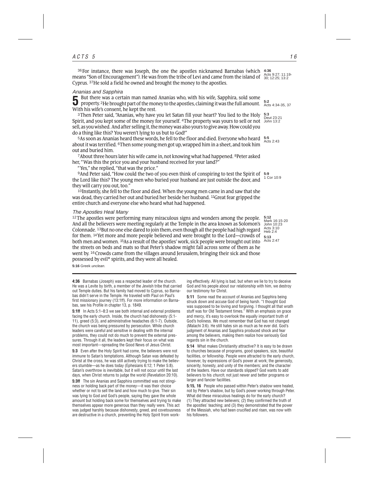<sup>36</sup>For instance, there was Joseph, the one the apostles nicknamed Barnabas (which **4:36** means "Son of Encouragement"). He was from the tribe of Levi and came from the island of  $\frac{\text{Acts 9:27; 11:19}}{30; 12:25; 13:2}$ Cyprus. <sup>37</sup>He sold a field he owned and brought the money to the apostles.

#### Ananias and Sapphira

**5** But there was a certain man named Ananias who, with his wife, Sapphira, sold some property. <sup>2</sup>He brought part of the money to the apostles, claiming it was the full amount. With his wife's consent, he kept the rest. **5:2** Acts 4:34-35, 37

<sup>3</sup>Then Peter said, "Ananias, why have you let Satan fill your heart? You lied to the Holy Spirit, and you kept some of the money for yourself. <sup>4</sup>The property was yours to sell or not sell, as you wished. And after selling it, the money was also yours to give away. How could you do a thing like this? You weren't lying to us but to God!" **5:3** Deut 23:21 John 13:2

<sup>5</sup>As soon as Ananias heard these words, he fell to the floor and died. Everyone who heard about it was terrified. <sup>6</sup>Then some young men got up, wrapped him in a sheet, and took him out and buried him. **5:5** Acts 2:43

<sup>7</sup>About three hours later his wife came in, not knowing what had happened. <sup>8</sup>Peter asked her, "Was this the price you and your husband received for your land?"

"Yes," she replied, "that was the price."

<sup>9</sup>And Peter said, "How could the two of you even think of conspiring to test the Spirit of **5:9** the Lord like this? The young men who buried your husband are just outside the door, and they will carry you out, too." 1 Cor 10:9

<sup>10</sup>Instantly, she fell to the floor and died. When the young men came in and saw that she was dead, they carried her out and buried her beside her husband. <sup>11</sup>Great fear gripped the entire church and everyone else who heard what had happened.

#### The Apostles Heal Many

<sup>12</sup>The apostles were performing many miraculous signs and wonders among the people. And all the believers were meeting regularly at the Temple in the area known as Solomon's Colonnade. <sup>13</sup>But no one else dared to join them, even though all the people had high regard for them. <sup>14</sup>Yet more and more people believed and were brought to the Lord—crowds of Heb 2:4 both men and women. 15As a result of the apostles' work, sick people were brought out into  $\,$  Acts 2:47  $\,$ the streets on beds and mats so that Peter's shadow might fall across some of them as he went by. <sup>16</sup> Crowds came from the villages around Jerusalem, bringing their sick and those possessed by evil\* spirits, and they were all healed. **5:12** Mark 16:15-20 John 10:23 Acts 3:10 **5:13**

**5:16** Greek unclean.

**4:36** Barnabas (Joseph) was a respected leader of the church. He was a Levite by birth, a member of the Jewish tribe that carried out Temple duties. But his family had moved to Cyprus, so Barnabas didn't serve in the Temple. He traveled with Paul on Paul's first missionary journey (13:1ff). For more information on Barnabas, see his Profile in chapter 13, p. 1849.

**5:1ff** In Acts 5:1–8:3 we see both internal and external problems facing the early church. Inside, the church had dishonesty (5:1- 11), greed (5:3), and administrative headaches (6:1-7). Outside, the church was being pressured by persecution. While church leaders were careful and sensitive in dealing with the internal problems, they could not do much to prevent the external pressures. Through it all, the leaders kept their focus on what was most important—spreading the Good News of Jesus Christ.

**5:3** Even after the Holy Spirit had come, the believers were not immune to Satan's temptations. Although Satan was defeated by Christ at the cross, he was still actively trying to make the believers stumble—as he does today (Ephesians 6:12; 1 Peter 5:8). Satan's overthrow is inevitable, but it will not occur until the last days, when Christ returns to judge the world (Revelation 20:10).

**5:3ff** The sin Ananias and Sapphira committed was not stinginess or holding back part of the money—it was their choice whether or not to sell the land and how much to give. Their sin was lying to God and God's people, saying they gave the whole amount but holding back some for themselves and trying to make themselves appear more generous than they really were. This act was judged harshly because dishonesty, greed, and covetousness are destructive in a church, preventing the Holy Spirit from working effectively. All lying is bad, but when we lie to try to deceive God and his people about our relationship with him, we destroy our testimony for Christ.

**5:11** Some read the account of Ananias and Sapphira being struck down and accuse God of being harsh. "I thought God was supposed to be loving and forgiving. I thought all that wrath stuff was for Old Testament times." With an emphasis on grace and mercy, it's easy to overlook the equally important truth of God's holiness. We must remember that God has not changed (Malachi 3:6). He still hates sin as much as he ever did. God's judgment of Ananias and Sapphira produced shock and fear among the believers, making them realize how seriously God regards sin in the church.

**5:14** What makes Christianity attractive? It is easy to be drawn to churches because of programs, good speakers, size, beautiful facilities, or fellowship. People were attracted to the early church, however, by expressions of God's power at work; the generosity, sincerity, honesty, and unity of the members; and the character of the leaders. Have our standards slipped? God wants to add believers to his church, not just newer and better programs or larger and fancier facilities.

**5:15, 16** People who passed within Peter's shadow were healed, not by Peter's shadow, but by God's power working through Peter. What did these miraculous healings do for the early church? (1) They attracted new believers; (2) they confirmed the truth of the apostles' teaching; and (3) they demonstrated that the power of the Messiah, who had been crucified and risen, was now with his followers.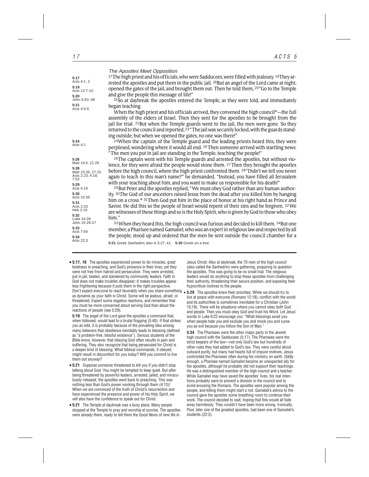|                                                                                                                                                                                                      | The Apostles Meet Opposition                                                                                                                                                                                                                                                                                                                                                                                                                                                                                                                                                                                                                                                                                                                                                                                                                                                                                                                                                                                                                                                                                      |
|------------------------------------------------------------------------------------------------------------------------------------------------------------------------------------------------------|-------------------------------------------------------------------------------------------------------------------------------------------------------------------------------------------------------------------------------------------------------------------------------------------------------------------------------------------------------------------------------------------------------------------------------------------------------------------------------------------------------------------------------------------------------------------------------------------------------------------------------------------------------------------------------------------------------------------------------------------------------------------------------------------------------------------------------------------------------------------------------------------------------------------------------------------------------------------------------------------------------------------------------------------------------------------------------------------------------------------|
| 5:17<br>Acts 4:1, 2<br>5:19<br>Acts 12:7-10<br>5:20                                                                                                                                                  | <sup>17</sup> The high priest and his officials, who were Sadducees, were filled with jealousy. <sup>18</sup> They ar-<br>rested the apostles and put them in the public jail. <sup>19</sup> But an angel of the Lord came at night,<br>opened the gates of the jail, and brought them out. Then he told them, 20"Go to the Temple<br>and give the people this message of life!"                                                                                                                                                                                                                                                                                                                                                                                                                                                                                                                                                                                                                                                                                                                                  |
| John 6:63, 68<br>5:21<br>Acts 4:5-6                                                                                                                                                                  | <sup>21</sup> So at daybreak the apostles entered the Temple, as they were told, and immediately<br>began teaching.<br>When the high priest and his officials arrived, they convened the high council*—the full<br>assembly of the elders of Israel. Then they sent for the apostles to be brought from the<br>jail for trial. <sup>22</sup> But when the Temple guards went to the jail, the men were gone. So they<br>returned to the council and reported, <sup>23</sup> "The jail was securely locked, with the guards stand-<br>ing outside, but when we opened the gates, no one was there!"                                                                                                                                                                                                                                                                                                                                                                                                                                                                                                                |
| 5:24<br>Acts 4:1                                                                                                                                                                                     | <sup>24</sup> When the captain of the Temple guard and the leading priests heard this, they were<br>perplexed, wondering where it would all end. 25 Then someone arrived with startling news:<br>"The men you put in jail are standing in the Temple, teaching the people!"                                                                                                                                                                                                                                                                                                                                                                                                                                                                                                                                                                                                                                                                                                                                                                                                                                       |
| 5:26<br>Matt 14:5; 21:26<br>5:28<br>Matt 23:35; 27:25<br>Acts 2:23; 4:18;<br>7:52<br>5:29<br>Acts 4:19<br>5:30<br>Acts 10:39<br>5:31<br>Acts 2:33<br>Heb 2:10<br>5:32<br>Luke 24:28<br>John 15:26-27 | <sup>26</sup> The captain went with his Temple guards and arrested the apostles, but without vio-<br>lence, for they were afraid the people would stone them. <sup>27</sup> Then they brought the apostles<br>before the high council, where the high priest confronted them. 28 "Didn't we tell you never<br>again to teach in this man's name?" he demanded. "Instead, you have filled all Jerusalem<br>with your teaching about him, and you want to make us responsible for his death!"<br><sup>29</sup> But Peter and the apostles replied, "We must obey God rather than any human author-<br>ity. <sup>30</sup> The God of our ancestors raised Jesus from the dead after you killed him by hanging<br>him on a cross.* 31 Then God put him in the place of honor at his right hand as Prince and<br>Savior. He did this so the people of Israel would repent of their sins and be forgiven. 32 We<br>are witnesses of these things and so is the Holy Spirit, who is given by God to those who obey<br>him."<br>33 When they heard this, the high council was furious and decided to kill them. 34But one |
| 5:33<br>Acts 7:54<br>5:34<br>Acts 22:3                                                                                                                                                               | member, a Pharisee named Gamaliel, who was an expert in religious law and respected by all<br>the people, stood up and ordered that the men be sent outside the council chamber for a<br>5:21 Greek Sanhedrin; also in 5:27, 41. 5:30 Greek on a tree.                                                                                                                                                                                                                                                                                                                                                                                                                                                                                                                                                                                                                                                                                                                                                                                                                                                            |

The Apostles Meet Opposition

• **5:17, 18** The apostles experienced power to do miracles, great boldness in preaching, and God's presence in their lives; yet they were not free from hatred and persecution. They were arrested, put in jail, beaten, and slandered by community leaders. Faith in God does not make troubles disappear; it makes troubles appear less frightening because it puts them in the right perspective. Don't expect everyone to react favorably when you share something as dynamic as your faith in Christ. Some will be jealous, afraid, or threatened. Expect some negative reactions, and remember that you must be more concerned about serving God than about the reactions of people (see 5:29).

**5:19** The angel of the Lord gave the apostles a command that, when followed, would lead to a brutal flogging (5:40). If that strikes you as odd, it is probably because of the prevailing idea among many believers that obedience inevitably leads to blessing (defined as "a problem-free, blissful existence"). Serious students of the Bible know, however, that obeying God often results in pain and suffering. They also recognize that being persecuted for Christ is a deeper kind of blessing. What biblical commands, if obeyed, might result in discomfort for you today? Will you commit to live them out anyway?

- **5:21** Suppose someone threatened to kill you if you didn't stop talking about God. You might be tempted to keep quiet. But after being threatened by powerful leaders, arrested, jailed, and miraculously released, the apostles went back to preaching. This was nothing less than God's power working through them (4:13)! When we are convinced of the truth of Christ's resurrection and have experienced the presence and power of his Holy Spirit, we will also have the confidence to speak out for Christ.
- **5:21** The Temple at daybreak was a busy place. Many people stopped at the Temple to pray and worship at sunrise. The apostles were already there, ready to tell them the Good News of new life in

Jesus Christ. Also at daybreak, the 70 men of the high council (also called the Sanhedrin) were gathering, preparing to question the apostles. This was going to be no small trial. The religious leaders would do anything to stop these apostles from challenging their authority, threatening their secure position, and exposing their hypocritical motives to the people.

• **5:29** The apostles knew their priorities. While we should try to live at peace with everyone (Romans 12:18), conflict with the world and its authorities is sometimes inevitable for a Christian (John 15:18). There will be situations where you cannot obey both God and people. Then you must obey God and trust his Word. Let Jesus' words in Luke 6:22 encourage you: "What blessings await you when people hate you and exclude you and mock you and curse you as evil because you follow the Son of Man."

**5:34** The Pharisees were the other major party in the Jewish high council with the Sadducees (5:17). The Pharisees were the strict keepers of the law—not only God's law but hundreds of other rules they had added to God's law. They were careful about outward purity, but many had hearts full of impure motives. Jesus confronted the Pharisees often during his ministry on earth. Oddly enough, a Pharisee named Gamaliel became an unexpected ally for the apostles, although he probably did not support their teachings. He was a distinguished member of the high council and a teacher. While Gamaliel may have saved the apostles' lives, his real intentions probably were to prevent a division in the council and to avoid arousing the Romans. The apostles were popular among the people, and killing them might start a riot. Gamaliel's advice to the council gave the apostles some breathing room to continue their work. The council decided to wait, hoping that this would all fade away harmlessly. They couldn't have been more wrong. Ironically, Paul, later one of the greatest apostles, had been one of Gamaliel's students (22:3).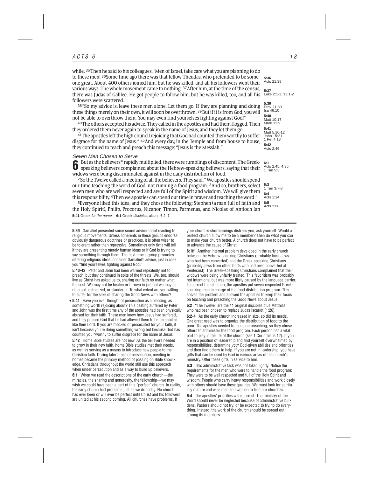while. <sup>35</sup>Then he said to his colleagues, "Men of Israel, take care what you are planning to do to these men! <sup>36</sup>Some time ago there was that fellow Theudas, who pretended to be someone great. About 400 others joined him, but he was killed, and all his followers went their various ways. The whole movement came to nothing. <sup>37</sup>After him, at the time of the census, there was Judas of Galilee. He got people to follow him, but he was killed, too, and all his followers were scattered. **5:36** Acts 21:38 **5:37**

<sup>38</sup>"So my advice is, leave these men alone. Let them go. If they are planning and doing these things merely on their own, it will soon be overthrown. <sup>39</sup> But if it is from God, you will not be able to overthrow them. You may even find yourselves fighting against God!"

<sup>40</sup>The others accepted his advice. They called in the apostles and had them flogged. Then they ordered them never again to speak in the name of Jesus, and they let them go.

<sup>41</sup>The apostles left the high council rejoicing that God had counted them worthy to suffer disgrace for the name of Jesus.\* <sup>42</sup>And every day, in the Temple and from house to house, they continued to teach and preach this message: "Jesus is the Messiah."

#### Seven Men Chosen to Serve

**6** But as the believers\* rapidly multiplied, there were rumblings of discontent. The Greek-<br>speaking believers complained about the Hebrew-speaking believers, saying that their widows were being discriminated against in the daily distribution of food.

<sup>2</sup>So the Twelve called a meeting of all the believers. They said, "We apostles should spend our time teaching the word of God, not running a food program. <sup>3</sup>And so, brothers, select seven men who are well respected and are full of the Spirit and wisdom. We will give them this responsibility. <sup>4</sup>Then we apostles can spend our time in prayer and teaching the word."

<sup>5</sup>Everyone liked this idea, and they chose the following: Stephen (a man full of faith and the Holy Spirit), Philip, Procorus, Nicanor, Timon, Parmenas, and Nicolas of Antioch (an **6:5** Acts 21:8

**5:41** Greek for the name. **6:1** Greek disciples; also in 6:2, 7.

**5:39** Gamaliel presented some sound advice about reacting to religious movements. Unless adherents in these groups endorse obviously dangerous doctrines or practices, it is often wiser to be tolerant rather than repressive. Sometimes only time will tell if they are presenting merely human ideas or if God is trying to say something through them. The next time a group promotes differing religious ideas, consider Gamaliel's advice, just in case you "find yourselves fighting against God."

**5:40-42** Peter and John had been warned repeatedly not to preach, but they continued in spite of the threats. We, too, should live as Christ has asked us to, sharing our faith no matter what the cost. We may not be beaten or thrown in jail, but we may be ridiculed, ostracized, or slandered. To what extent are you willing to suffer for the sake of sharing the Good News with others?

• **5:41** Have you ever thought of persecution as a blessing, as something worth rejoicing about? This beating suffered by Peter and John was the first time any of the apostles had been physically abused for their faith. These men knew how Jesus had suffered, and they praised God that he had allowed them to be persecuted like their Lord. If you are mocked or persecuted for your faith, it isn't because you're doing something wrong but because God has counted you "worthy to suffer disgrace for the name of Jesus."

**5:42** Home Bible studies are not new. As the believers needed to grow in their new faith, home Bible studies met their needs, as well as serving as a means to introduce new people to the Christian faith. During later times of persecution, meeting in homes became the primary method of passing on Bible knowledge. Christians throughout the world still use this approach when under persecution and as a way to build up believers.

**6:1** When we read the descriptions of the early church—the miracles, the sharing and generosity, the fellowship—we may wish we could have been a part of this "perfect" church. In reality, the early church had problems just as we do today. No church has ever been or will ever be perfect until Christ and his followers are united at his second coming. All churches have problems. If

Luke 2:1-2; 13:1-2 **5:39** Prov 21:30 Isa 46:10 **5:40** Matt 10:17 Mark 13:9 **5:41** Matt 5:10-12 John 15:21 1 Pet 4:13 **5:42** Acts 2:46 **6:1** Acts 2:45; 4:35 1 Tim 5:3

**6:3** 1 Tim 3:7-8 **6:4**

Acts 1:14

your church's shortcomings distress you, ask yourself: Would a perfect church allow me to be a member? Then do what you can to make your church better. A church does not have to be perfect to advance the cause of Christ.

**6:1ff** Another internal problem developed in the early church between the Hebrew-speaking Christians (probably local Jews who had been converted) and the Greek-speaking Christians (probably Jews from other lands who had been converted at Pentecost). The Greek-speaking Christians complained that their widows were being unfairly treated. This favoritism was probably not intentional but was more likely caused by the language barrier. To correct the situation, the apostles put seven respected Greekspeaking men in charge of the food distribution program. This solved the problem and allowed the apostles to keep their focus on teaching and preaching the Good News about Jesus.

**6:2** "The Twelve" are the 11 original disciples plus Matthias, who had been chosen to replace Judas Iscariot (1:26).

**6:2-4** As the early church increased in size, so did its needs. One great need was to organize the distribution of food to the poor. The apostles needed to focus on preaching, so they chose others to administer the food program. Each person has a vital part to play in the life of the church (see 1 Corinthians 12). If you are in a position of leadership and find yourself overwhelmed by responsibilities, determine your God-given abilities and priorities and then find others to help. If you are not in leadership, you have gifts that can be used by God in various areas of the church's ministry. Offer these gifts in service to him.

**6:3** This administrative task was not taken lightly. Notice the requirements for the men who were to handle the food program: They were to be well respected and full of the Holy Spirit and wisdom. People who carry heavy responsibilities and work closely with others should have these qualities. We must look for spiritually mature and wise men and women to lead our churches.

**6:4** The apostles' priorities were correct. The ministry of the Word should never be neglected because of administrative burdens. Pastors should not try, or be expected to try, to do everything. Instead, the work of the church should be spread out among its members.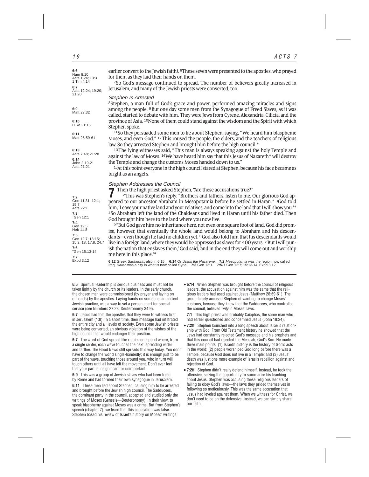**6:6** Num 8:10 Acts 1:24; 13:3 1 Tim 4:14 **6:7** Acts 12:24; 19:20; 21:20

**6:9** Matt 27:32

**6:10** Luke 21:15

**6:11** Matt 26:59-61

**6:13** Acts 7:48; 21:28 **6:14** John 2:19-21 Acts 21:21

**7:2** Gen 11:31–12:1; 15:7 Acts 22:1 **7:3** †Gen 12:1 **7:4** Gen 12:5 Heb 11:8 **7:5** Gen 12:7; 13:15; 15:2, 18; 17:8; 24:7 **7:6** †Gen 15:13-14 **7:7**

earlier convert to the Jewish faith). <sup>6</sup>These seven were presented to the apostles, who prayed for them as they laid their hands on them.

<sup>7</sup>So God's message continued to spread. The number of believers greatly increased in Jerusalem, and many of the Jewish priests were converted, too.

#### Stephen Is Arrested

<sup>8</sup>Stephen, a man full of God's grace and power, performed amazing miracles and signs among the people. <sup>9</sup>But one day some men from the Synagogue of Freed Slaves, as it was called, started to debate with him. They were Jews from Cyrene, Alexandria, Cilicia, and the province of Asia. <sup>10</sup>None of them could stand against the wisdom and the Spirit with which Stephen spoke.

<sup>11</sup>So they persuaded some men to lie about Stephen, saying, "We heard him blaspheme Moses, and even God." <sup>12</sup>This roused the people, the elders, and the teachers of religious law. So they arrested Stephen and brought him before the high council.\*

<sup>13</sup>The lying witnesses said, "This man is always speaking against the holy Temple and against the law of Moses. <sup>14</sup>We have heard him say that this Jesus of Nazareth\* will destroy the Temple and change the customs Moses handed down to us."

<sup>15</sup>At this point everyone in the high council stared at Stephen, because his face became as bright as an angel's.

#### Stephen Addresses the Council

**7** Then the high priest asked Stephen, "Are these accusations true?" <sup>2</sup>This was Stephen's reply: "Brothers and fathers, listen to me. Our glorious God appeared to our ancestor Abraham in Mesopotamia before he settled in Haran.\* <sup>3</sup>God told him, 'Leave your native land and your relatives, and come into the land that I will show you.'\* <sup>4</sup>So Abraham left the land of the Chaldeans and lived in Haran until his father died. Then God brought him here to the land where you now live.

5"But God gave him no inheritance here, not even one square foot of land. God did promise, however, that eventually the whole land would belong to Abraham and his descendants—even though he had no children yet. <sup>6</sup>God also told him that his descendants would live in a foreign land, where they would be oppressed as slaves for 400 years. <sup>7</sup>'But I will punish the nation that enslaves them,' God said, 'and in the end they will come out and worship me here in this place.'\*

Exod 3:12 **6:12** Greek *Sanhedrin;* also in 6:15. **6:14** Or *Jesus the Nazarene. 7:2 Mesopotamia* was the region now called<br>Iraq. *Haran* was a city in what is now called Syria. 7:3 Gen 12:1. 7:5-7 Gen 12:7; 15:13-14; Exod

**6:6** Spiritual leadership is serious business and must not be taken lightly by the church or its leaders. In the early church, the chosen men were commissioned (by prayer and laying on of hands) by the apostles. Laying hands on someone, an ancient Jewish practice, was a way to set a person apart for special service (see Numbers 27:23; Deuteronomy 34:9).

**6:7** Jesus had told the apostles that they were to witness first in Jerusalem (1:8). In a short time, their message had infiltrated the entire city and all levels of society. Even some Jewish priests were being converted, an obvious violation of the wishes of the high council that would endanger their position.

**6:7** The word of God spread like ripples on a pond where, from a single center, each wave touches the next, spreading wider and farther. The Good News still spreads this way today. You don't have to change the world single-handedly; it is enough just to be part of the wave, touching those around you, who in turn will touch others until all have felt the movement. Don't ever feel that your part is insignificant or unimportant.

**6:9** This was a group of Jewish slaves who had been freed by Rome and had formed their own synagogue in Jerusalem.

**6:11** These men lied about Stephen, causing him to be arrested and brought before the Jewish high council. The Sadducees, the dominant party in the council, accepted and studied only the writings of Moses (Genesis—Deuteronomy). In their view, to speak blasphemy against Moses was a crime. But from Stephen's speech (chapter 7), we learn that this accusation was false. Stephen based his review of Israel's history on Moses' writings.

• **6:14** When Stephen was brought before the council of religious leaders, the accusation against him was the same that the religious leaders had used against Jesus (Matthew 26:59-61). The group falsely accused Stephen of wanting to change Moses' customs, because they knew that the Sadducees, who controlled the council, believed only in Moses' laws.

**7:1** This high priest was probably Caiaphas, the same man who had earlier questioned and condemned Jesus (John 18:24).

- **7:2ff** Stephen launched into a long speech about Israel's relationship with God. From Old Testament history he showed that the Jews had constantly rejected God's message and his prophets and that this council had rejected the Messiah, God's Son. He made three main points: (1) Israel's history is the history of God's acts in the world; (2) people worshiped God long before there was a Temple, because God does not live in a Temple; and (3) Jesus' death was just one more example of Israel's rebellion against and rejection of God.
- **7:2ff** Stephen didn't really defend himself. Instead, he took the offensive, seizing the opportunity to summarize his teaching about Jesus. Stephen was accusing these religious leaders of failing to obey God's laws—the laws they prided themselves in following so meticulously. This was the same accusation that Jesus had leveled against them. When we witness for Christ, we don't need to be on the defensive. Instead, we can simply share our faith.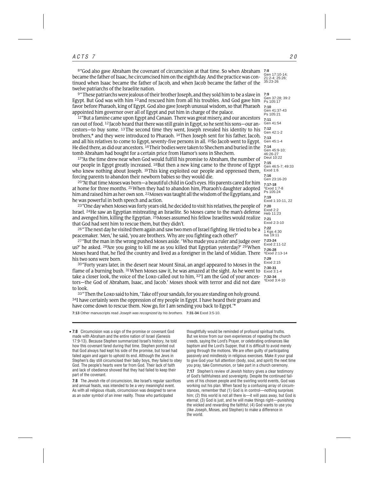<sup>8</sup>"God also gave Abraham the covenant of circumcision at that time. So when Abraham became the father of Isaac, he circumcised him on the eighth day. And the practice was continued when Isaac became the father of Jacob, and when Jacob became the father of the twelve patriarchs of the Israelite nation.

<sup>9</sup>"These patriarchs were jealous of their brother Joseph, and they sold him to be a slave in Egypt. But God was with him <sup>10</sup>and rescued him from all his troubles. And God gave him favor before Pharaoh, king of Egypt. God also gave Joseph unusual wisdom, so that Pharaoh appointed him governor over all of Egypt and put him in charge of the palace.

<sup>11</sup>"But a famine came upon Egypt and Canaan. There was great misery, and our ancestors ran out of food. <sup>12</sup> Jacob heard that there was still grain in Egypt, so he sent his sons-our ancestors—to buy some. <sup>13</sup>The second time they went, Joseph revealed his identity to his brothers,\* and they were introduced to Pharaoh. <sup>14</sup>Then Joseph sent for his father, Jacob, and all his relatives to come to Egypt, seventy-five persons in all. <sup>15</sup>So Jacob went to Egypt. He died there, as did our ancestors. <sup>16</sup>Their bodies were taken to Shechem and buried in the tomb Abraham had bought for a certain price from Hamor's sons in Shechem.

<sup>17</sup>"As the time drew near when God would fulfill his promise to Abraham, the number of our people in Egypt greatly increased. <sup>18</sup>But then a new king came to the throne of Egypt who knew nothing about Joseph. <sup>19</sup>This king exploited our people and oppressed them, forcing parents to abandon their newborn babies so they would die.

<sup>20</sup>"At that time Moses was born—a beautiful child in God's eyes. His parents cared for him at home for three months. <sup>21</sup>When they had to abandon him, Pharaoh's daughter adopted him and raised him as her own son. <sup>22</sup>Moses was taught all the wisdom of the Egyptians, and he was powerful in both speech and action.

<sup>23</sup>"One day when Moses was forty years old, he decided to visit his relatives, the people of Israel. <sup>24</sup>He saw an Egyptian mistreating an Israelite. So Moses came to the man's defense and avenged him, killing the Egyptian. <sup>25</sup>Moses assumed his fellow Israelites would realize that God had sent him to rescue them, but they didn't.

<sup>26</sup>"The next day he visited them again and saw two men of Israel fighting. He tried to be a peacemaker. 'Men,' he said, 'you are brothers. Why are you fighting each other?'

<sup>27</sup>"But the man in the wrong pushed Moses aside. 'Who made you a ruler and judge over us?' he asked. <sup>28'</sup>Are you going to kill me as you killed that Egyptian yesterday?' <sup>29</sup>When Moses heard that, he fled the country and lived as a foreigner in the land of Midian. There †Exod 2:13-14 his two sons were born.

<sup>30</sup> "Forty years later, in the desert near Mount Sinai, an angel appeared to Moses in the flame of a burning bush. <sup>31</sup>When Moses saw it, he was amazed at the sight. As he went to take a closer look, the voice of the Lord called out to him,  $32'$ I am the God of your ancestors—the God of Abraham, Isaac, and Jacob.' Moses shook with terror and did not dare to look.

33" Then the Lord said to him, 'Take off your sandals, for you are standing on holy ground. <sup>34</sup>I have certainly seen the oppression of my people in Egypt. I have heard their groans and have come down to rescue them. Now go, for I am sending you back to Egypt.'\*

**7:13** Other manuscripts read Joseph was recognized by his brothers. **7:31-34** Exod 3:5-10.

• **7:8** Circumcision was a sign of the promise or covenant God made with Abraham and the entire nation of Israel (Genesis 17:9-13). Because Stephen summarized Israel's history, he told how this covenant fared during that time. Stephen pointed out that God always had kept his side of the promise, but Israel had failed again and again to uphold its end. Although the Jews in Stephen's day still circumcised their baby boys, they failed to obey God. The people's hearts were far from God. Their lack of faith and lack of obedience showed that they had failed to keep their part of the covenant.

**7:8** The Jewish rite of circumcision, like Israel's regular sacrifices and annual feasts, was intended to be a very meaningful event. As with all religious rituals, circumcision was designed to serve as an outer symbol of an inner reality. Those who participated

thoughtfully would be reminded of profound spiritual truths. But we know from our own experiences of repeating the church creeds, saying the Lord's Prayer, or celebrating ordinances like baptism and the Lord's Supper, that it is difficult to avoid merely going through the motions. We are often guilty of participating passively and mindlessly in religious exercises. Make it your goal to give God your full attention (body, soul, and spirit) the next time you pray, take Communion, or take part in a church ceremony.

**7:17** Stephen's review of Jewish history gives a clear testimony of God's faithfulness and sovereignty. Despite the continued failures of his chosen people and the swirling world events, God was working out his plan. When faced by a confusing array of circumstances, remember that (1) God is in control—nothing surprises him; (2) this world is not all there is-it will pass away, but God is eternal; (3) God is just, and he will make things right—punishing the wicked and rewarding the faithful; (4) God wants to use you (like Joseph, Moses, and Stephen) to make a difference in the world.

**7:8** Gen 17:10-14; 21:2-4; 25:26; 35:23-26

**7:9** Gen 37:28; 39:2 Ps 105:17 **7:10** Gen 41:37-43 Ps 105:21 **7:11** Gen 41:54 **7:12** Gen 42:1-2 **7:13** Gen 45:1-4 **7:14** Gen 45:9-10; 46:26-27 Deut 10:22 **7:15** Gen 46:5-7; 49:33 Exod 1:6 **7:16** Gen 23:16-20 **7:17-18** †Exod 1:7-8 Ps 105:24 **7:19** Exod 1:10-11, 22 **7:20** Exod 2:2 Heb 11:23 **7:21** Exod 2:3-10 **7:22** 1 Kgs 4:30 Isa 19:11 **7:23-24** Exod 2:11-12 **7:26-28 7:29** Exod 2:15 **7:30-31** Exod 3:1-4 **7:32-34** †Exod 3:4-10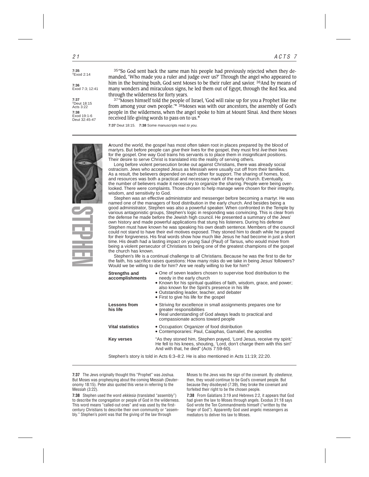#### **7:35** †Exod 2:14

**7:36** Exod 7:3; 12:41

**7:37** †Deut 18:15 Acts 3:22 **7:38** Exod 19:1-6 Deut 32:45-47

35"So God sent back the same man his people had previously rejected when they demanded, 'Who made you a ruler and judge over us?' Through the angel who appeared to him in the burning bush, God sent Moses to be their ruler and savior. <sup>36</sup>And by means of many wonders and miraculous signs, he led them out of Egypt, through the Red Sea, and through the wilderness for forty years.

<sup>37</sup> "Moses himself told the people of Israel, 'God will raise up for you a Prophet like me from among your own people.'\* <sup>38</sup>Moses was with our ancestors, the assembly of God's people in the wilderness, when the angel spoke to him at Mount Sinai. And there Moses received life-giving words to pass on to us.\*

**7:37** Deut 18:15. **7:38** Some manuscripts read to you.



**A**round the world, the gospel has most often taken root in places prepared by the blood of martyrs. But before people can give their lives for the gospel, they must first live their lives for the gospel. One way God trains his servants is to place them in insignificant positions. Their desire to serve Christ is translated into the reality of serving others.

Long before violent persecution broke out against Christians, there was already social ostracism. Jews who accepted Jesus as Messiah were usually cut off from their families. As a result, the believers depended on each other for support. The sharing of homes, food, and resources was both a practical and necessary mark of the early church. Eventually, the number of believers made it necessary to organize the sharing. People were being overlooked. There were complaints. Those chosen to help manage were chosen for their integrity, wisdom, and sensitivity to God.

Stephen was an effective administrator and messenger before becoming a martyr. He was named one of the managers of food distribution in the early church. And besides being a good administrator, Stephen was also a powerful speaker. When confronted in the Temple by various antagonistic groups, Stephen's logic in responding was convincing. This is clear from the defense he made before the Jewish high council. He presented a summary of the Jews' own history and made powerful applications that stung his listeners. During his defense Stephen must have known he was speaking his own death sentence. Members of the council could not stand to have their evil motives exposed. They stoned him to death while he prayed for their forgiveness. His final words show how much like Jesus he had become in just a short time. His death had a lasting impact on young Saul (Paul) of Tarsus, who would move from being a violent persecutor of Christians to being one of the greatest champions of the gospel the church has known.

Stephen's life is a continual challenge to all Christians. Because he was the first to die for the faith, his sacrifice raises questions: How many risks do we take in being Jesus' followers? Would we be willing to die for him? Are we really willing to live for him?

| <b>Strengths and</b><br>accomplishments | • One of seven leaders chosen to supervise food distribution to the<br>needy in the early church<br>• Known for his spiritual qualities of faith, wisdom, grace, and power;<br>also known for the Spirit's presence in his life<br>• Outstanding leader, teacher, and debater<br>• First to give his life for the gospel |
|-----------------------------------------|--------------------------------------------------------------------------------------------------------------------------------------------------------------------------------------------------------------------------------------------------------------------------------------------------------------------------|
| <b>Lessons from</b><br>his life         | • Striving for excellence in small assignments prepares one for<br>greater responsibilities<br>• Real understanding of God always leads to practical and<br>compassionate actions toward people                                                                                                                          |
| <b>Vital statistics</b>                 | • Occupation: Organizer of food distribution<br>• Contemporaries: Paul, Caiaphas, Gamaliel, the apostles                                                                                                                                                                                                                 |
| <b>Key verses</b>                       | "As they stoned him, Stephen prayed, 'Lord Jesus, receive my spirit.'<br>He fell to his knees, shouting, 'Lord, don't charge them with this sin!'<br>And with that, he died" (Acts 7:59-60).                                                                                                                             |

Stephen's story is told in Acts 6:3–8:2. He is also mentioned in Acts 11:19; 22:20.

**7:37** The Jews originally thought this "Prophet" was Joshua. But Moses was prophesying about the coming Messiah (Deuteronomy 18:15). Peter also quoted this verse in referring to the Messiah (3:22).

**7:38** Stephen used the word ekklesia (translated "assembly") to describe the congregation or people of God in the wilderness. This word means "called-out ones" and was used by the firstcentury Christians to describe their own community or "assembly." Stephen's point was that the giving of the law through

Moses to the Jews was the sign of the covenant. By obedience, then, they would continue to be God's covenant people. But because they disobeyed (7:39), they broke the covenant and forfeited their right to be the chosen people.

**7:38** From Galatians 3:19 and Hebrews 2:2, it appears that God had given the law to Moses through angels. Exodus 31:18 says God wrote the Ten Commandments himself ("written by the finger of God"). Apparently God used angelic messengers as mediators to deliver his law to Moses.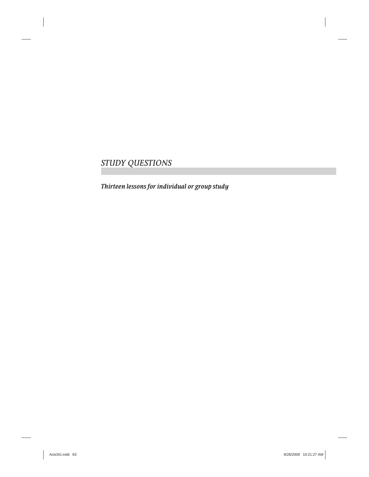# *STUDY QUESTIONS*

*Thirteen lessons for individual or group study*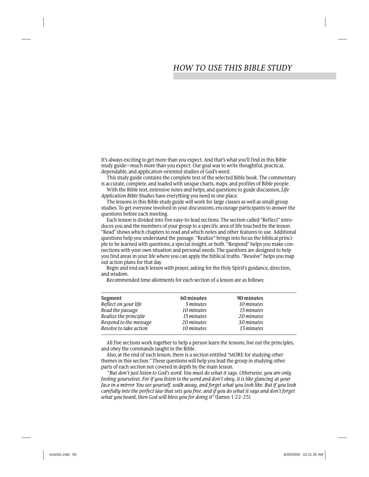# *HOW TO USE THIS BIBLE STUDY*

It's always exciting to get more than you expect. And that's what you'll find in this Bible study guide—much more than you expect. Our goal was to write thoughtful, practical, dependable, and application-oriented studies of God's word.

This study guide contains the complete text of the selected Bible book. The commentary is accurate, complete, and loaded with unique charts, maps, and profiles of Bible people.

With the Bible text, extensive notes and helps, and questions to guide discussion, *Life Application Bible Studies* have everything you need in one place.

The lessons in this Bible study guide will work for large classes as well as small-group studies. To get everyone involved in your discussions, encourage participants to answer the questions before each meeting.

Each lesson is divided into five easy-to-lead sections. The section called "Reflect" introduces you and the members of your group to a specific area of life touched by the lesson. "Read" shows which chapters to read and which notes and other features to use. Additional questions help you understand the passage. "Realize" brings into focus the biblical principle to be learned with questions, a special insight, or both. "Respond" helps you make connections with your own situation and personal needs. The questions are designed to help you find areas in your life where you can apply the biblical truths. "Resolve" helps you map out action plans for that day.

Begin and end each lesson with prayer, asking for the Holy Spirit's guidance, direction, and wisdom.

Recommended time allotments for each section of a lesson are as follows:

| <b>Segment</b>         | 60 minutes | 90 minutes |  |
|------------------------|------------|------------|--|
| Reflect on your life   | 5 minutes  | 10 minutes |  |
| Read the passage       | 10 minutes | 15 minutes |  |
| Realize the principle  | 15 minutes | 20 minutes |  |
| Respond to the message | 20 minutes | 30 minutes |  |
| Resolve to take action | 10 minutes | 15 minutes |  |

All five sections work together to help a person learn the lessons, live out the principles, and obey the commands taught in the Bible.

Also, at the end of each lesson, there is a section entitled "MORE for studying other themes in this section." These questions will help you lead the group in studying other parts of each section not covered in depth by the main lesson.

*"But don't just listen to God's word. You must do what it says. Otherwise, you are only fooling yourselves. For if you listen to the word and don't obey, it is like glancing at your face in a mirror. You see yourself, walk away, and forget what you look like. But if you look carefully into the perfect law that sets you free, and if you do what it says and don't forget what you heard, then God will bless you for doing it"* (James 1:22-25).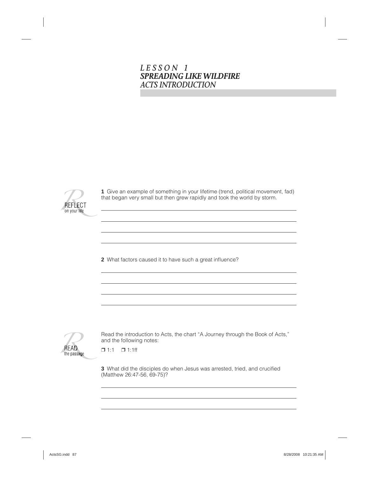# *L E SSON 1 SPREADING LIKE WILDFIRE ACTS INTRODUCTION*





Read the introduction to Acts, the chart "A Journey through the Book of Acts," and the following notes:

 $\Box$  1:1  $\Box$  1:1ff

**3** What did the disciples do when Jesus was arrested, tried, and crucified (Matthew 26:47-56, 69-75)?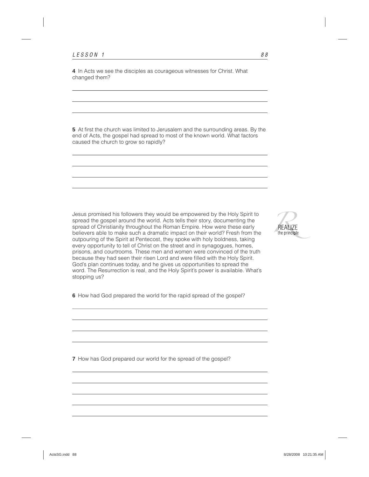**4** In Acts we see the disciples as courageous witnesses for Christ. What changed them?

**5** At first the church was limited to Jerusalem and the surrounding areas. By the end of Acts, the gospel had spread to most of the known world. What factors caused the church to grow so rapidly?

Jesus promised his followers they would be empowered by the Holy Spirit to spread the gospel around the world. Acts tells their story, documenting the spread of Christianity throughout the Roman Empire. How were these early believers able to make such a dramatic impact on their world? Fresh from the outpouring of the Spirit at Pentecost, they spoke with holy boldness, taking every opportunity to tell of Christ on the street and in synagogues, homes, prisons, and courtrooms. These men and women were convinced of the truth because they had seen their risen Lord and were filled with the Holy Spirit. God's plan continues today, and he gives us opportunities to spread the word. The Resurrection is real, and the Holy Spirit's power is available. What's stopping us?

**REALIZE**<br>the principle

**6** How had God prepared the world for the rapid spread of the gospel?

**7** How has God prepared our world for the spread of the gospel?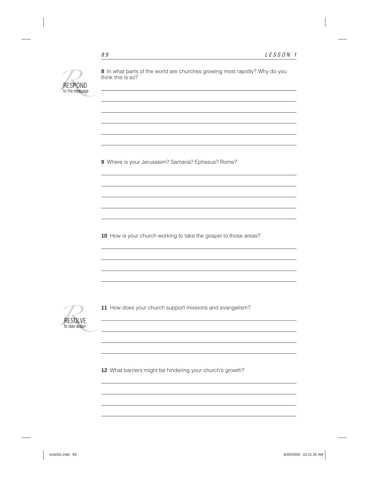

**8** In what parts of the world are churches growing most rapidly? Why do you think this is so?

**9** Where is your Jerusalem? Samaria? Ephesus? Rome?

**10** How is your church working to take the gospel to those areas?



**11** How does your church support missions and evangelism?

**12** What barriers might be hindering your church's growth?